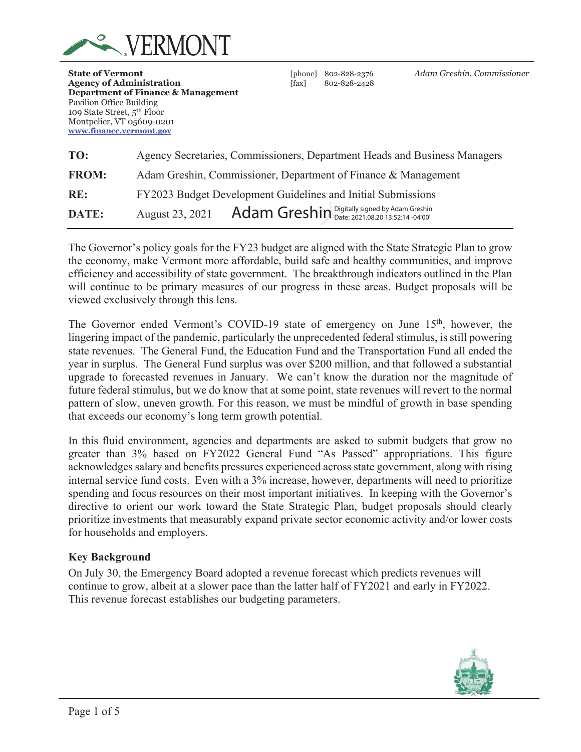

**Department of Finance & Management** 

Pavilion Office Building 109 State Street, 5th Floor Montpelier, VT 05609-0201 **www.finance.vermont.gov**

**Agency of Administration** [fax] 802-828-2428

**State of Vermont** [phone] 802-828-2376 *Adam Greshin, Commissioner*

| TO:          | Agency Secretaries, Commissioners, Department Heads and Business Managers |  |  |  |  |  |  |  |  |  |
|--------------|---------------------------------------------------------------------------|--|--|--|--|--|--|--|--|--|
| <b>FROM:</b> | Adam Greshin, Commissioner, Department of Finance & Management            |  |  |  |  |  |  |  |  |  |
| RE:          | FY2023 Budget Development Guidelines and Initial Submissions              |  |  |  |  |  |  |  |  |  |
| DATE:        | Adam Greshin Digitally signed by Adam Greshin<br>August 23, 2021          |  |  |  |  |  |  |  |  |  |

The Governor's policy goals for the FY23 budget are aligned with the State Strategic Plan to grow the economy, make Vermont more affordable, build safe and healthy communities, and improve efficiency and accessibility of state government. The breakthrough indicators outlined in the Plan will continue to be primary measures of our progress in these areas. Budget proposals will be viewed exclusively through this lens.

The Governor ended Vermont's COVID-19 state of emergency on June 15<sup>th</sup>, however, the lingering impact of the pandemic, particularly the unprecedented federal stimulus, is still powering state revenues. The General Fund, the Education Fund and the Transportation Fund all ended the year in surplus. The General Fund surplus was over \$200 million, and that followed a substantial upgrade to forecasted revenues in January. We can't know the duration nor the magnitude of future federal stimulus, but we do know that at some point, state revenues will revert to the normal pattern of slow, uneven growth. For this reason, we must be mindful of growth in base spending that exceeds our economy's long term growth potential.

In this fluid environment, agencies and departments are asked to submit budgets that grow no greater than 3% based on FY2022 General Fund "As Passed" appropriations. This figure acknowledges salary and benefits pressures experienced across state government, along with rising internal service fund costs. Even with a 3% increase, however, departments will need to prioritize spending and focus resources on their most important initiatives. In keeping with the Governor's directive to orient our work toward the State Strategic Plan, budget proposals should clearly prioritize investments that measurably expand private sector economic activity and/or lower costs for households and employers.

## **Key Background**

On July 30, the Emergency Board adopted a revenue forecast which predicts revenues will continue to grow, albeit at a slower pace than the latter half of FY2021 and early in FY2022. This revenue forecast establishes our budgeting parameters.

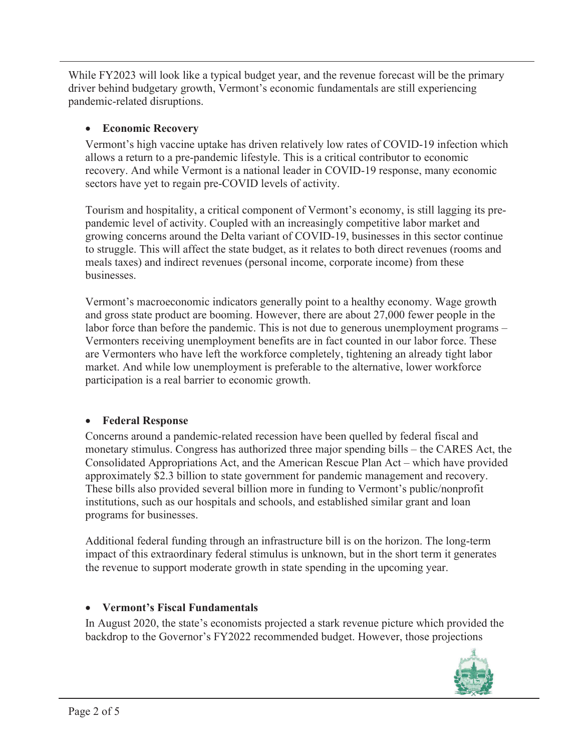While FY2023 will look like a typical budget year, and the revenue forecast will be the primary driver behind budgetary growth, Vermont's economic fundamentals are still experiencing pandemic-related disruptions.

# x **Economic Recovery**

Vermont's high vaccine uptake has driven relatively low rates of COVID-19 infection which allows a return to a pre-pandemic lifestyle. This is a critical contributor to economic recovery. And while Vermont is a national leader in COVID-19 response, many economic sectors have yet to regain pre-COVID levels of activity.

Tourism and hospitality, a critical component of Vermont's economy, is still lagging its prepandemic level of activity. Coupled with an increasingly competitive labor market and growing concerns around the Delta variant of COVID-19, businesses in this sector continue to struggle. This will affect the state budget, as it relates to both direct revenues (rooms and meals taxes) and indirect revenues (personal income, corporate income) from these businesses.

Vermont's macroeconomic indicators generally point to a healthy economy. Wage growth and gross state product are booming. However, there are about 27,000 fewer people in the labor force than before the pandemic. This is not due to generous unemployment programs – Vermonters receiving unemployment benefits are in fact counted in our labor force. These are Vermonters who have left the workforce completely, tightening an already tight labor market. And while low unemployment is preferable to the alternative, lower workforce participation is a real barrier to economic growth.

# x **Federal Response**

Concerns around a pandemic-related recession have been quelled by federal fiscal and monetary stimulus. Congress has authorized three major spending bills – the CARES Act, the Consolidated Appropriations Act, and the American Rescue Plan Act – which have provided approximately \$2.3 billion to state government for pandemic management and recovery. These bills also provided several billion more in funding to Vermont's public/nonprofit institutions, such as our hospitals and schools, and established similar grant and loan programs for businesses.

Additional federal funding through an infrastructure bill is on the horizon. The long-term impact of this extraordinary federal stimulus is unknown, but in the short term it generates the revenue to support moderate growth in state spending in the upcoming year.

# x **Vermont's Fiscal Fundamentals**

In August 2020, the state's economists projected a stark revenue picture which provided the backdrop to the Governor's FY2022 recommended budget. However, those projections

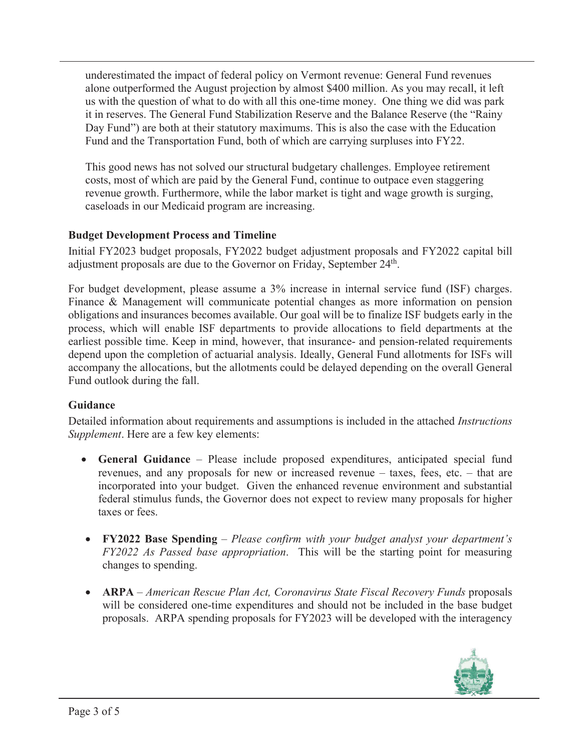underestimated the impact of federal policy on Vermont revenue: General Fund revenues alone outperformed the August projection by almost \$400 million. As you may recall, it left us with the question of what to do with all this one-time money. One thing we did was park it in reserves. The General Fund Stabilization Reserve and the Balance Reserve (the "Rainy Day Fund") are both at their statutory maximums. This is also the case with the Education Fund and the Transportation Fund, both of which are carrying surpluses into FY22.

This good news has not solved our structural budgetary challenges. Employee retirement costs, most of which are paid by the General Fund, continue to outpace even staggering revenue growth. Furthermore, while the labor market is tight and wage growth is surging, caseloads in our Medicaid program are increasing.

# **Budget Development Process and Timeline**

Initial FY2023 budget proposals, FY2022 budget adjustment proposals and FY2022 capital bill adjustment proposals are due to the Governor on Friday, September 24<sup>th</sup>.

For budget development, please assume a 3% increase in internal service fund (ISF) charges. Finance & Management will communicate potential changes as more information on pension obligations and insurances becomes available. Our goal will be to finalize ISF budgets early in the process, which will enable ISF departments to provide allocations to field departments at the earliest possible time. Keep in mind, however, that insurance- and pension-related requirements depend upon the completion of actuarial analysis. Ideally, General Fund allotments for ISFs will accompany the allocations, but the allotments could be delayed depending on the overall General Fund outlook during the fall.

## **Guidance**

Detailed information about requirements and assumptions is included in the attached *Instructions Supplement*. Here are a few key elements:

- x **General Guidance** Please include proposed expenditures, anticipated special fund revenues, and any proposals for new or increased revenue – taxes, fees, etc. – that are incorporated into your budget. Given the enhanced revenue environment and substantial federal stimulus funds, the Governor does not expect to review many proposals for higher taxes or fees.
- x **FY2022 Base Spending**  *Please confirm with your budget analyst your department's FY2022 As Passed base appropriation*. This will be the starting point for measuring changes to spending.
- x **ARPA**  *American Rescue Plan Act, Coronavirus State Fiscal Recovery Funds* proposals will be considered one-time expenditures and should not be included in the base budget proposals. ARPA spending proposals for FY2023 will be developed with the interagency

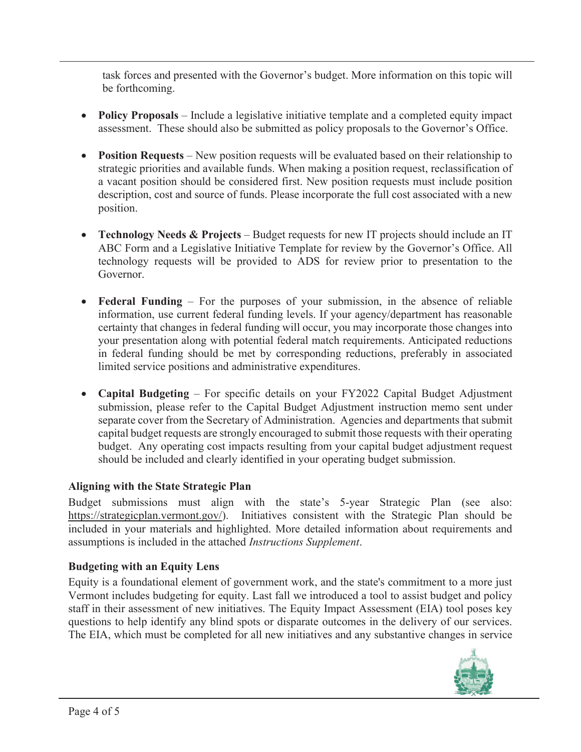task forces and presented with the Governor's budget. More information on this topic will be forthcoming.

- **Policy Proposals** Include a legislative initiative template and a completed equity impact assessment. These should also be submitted as policy proposals to the Governor's Office.
- **Position Requests** New position requests will be evaluated based on their relationship to strategic priorities and available funds. When making a position request, reclassification of a vacant position should be considered first. New position requests must include position description, cost and source of funds. Please incorporate the full cost associated with a new position.
- **Technology Needs & Projects** Budget requests for new IT projects should include an IT ABC Form and a Legislative Initiative Template for review by the Governor's Office. All technology requests will be provided to ADS for review prior to presentation to the Governor.
- **Federal Funding** For the purposes of your submission, in the absence of reliable information, use current federal funding levels. If your agency/department has reasonable certainty that changes in federal funding will occur, you may incorporate those changes into your presentation along with potential federal match requirements. Anticipated reductions in federal funding should be met by corresponding reductions, preferably in associated limited service positions and administrative expenditures.
- **Capital Budgeting** For specific details on your FY2022 Capital Budget Adjustment submission, please refer to the Capital Budget Adjustment instruction memo sent under separate cover from the Secretary of Administration. Agencies and departments that submit capital budget requests are strongly encouraged to submit those requests with their operating budget. Any operating cost impacts resulting from your capital budget adjustment request should be included and clearly identified in your operating budget submission.

# **Aligning with the State Strategic Plan**

Budget submissions must align with the state's 5-year Strategic Plan (see also: https://strategicplan.vermont.gov/). Initiatives consistent with the Strategic Plan should be included in your materials and highlighted. More detailed information about requirements and assumptions is included in the attached *Instructions Supplement*.

# **Budgeting with an Equity Lens**

Equity is a foundational element of government work, and the state's commitment to a more just Vermont includes budgeting for equity. Last fall we introduced a tool to assist budget and policy staff in their assessment of new initiatives. The Equity Impact Assessment (EIA) tool poses key questions to help identify any blind spots or disparate outcomes in the delivery of our services. The EIA, which must be completed for all new initiatives and any substantive changes in service

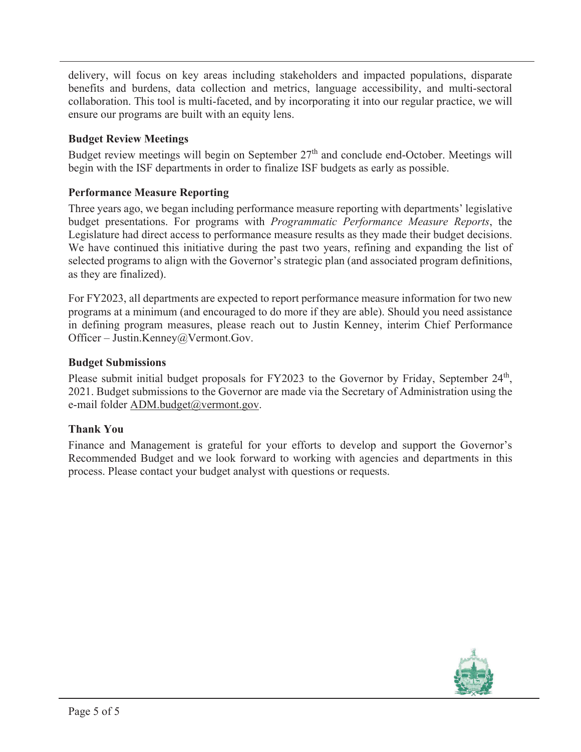delivery, will focus on key areas including stakeholders and impacted populations, disparate benefits and burdens, data collection and metrics, language accessibility, and multi-sectoral collaboration. This tool is multi-faceted, and by incorporating it into our regular practice, we will ensure our programs are built with an equity lens.

# **Budget Review Meetings**

Budget review meetings will begin on September 27<sup>th</sup> and conclude end-October. Meetings will begin with the ISF departments in order to finalize ISF budgets as early as possible.

# **Performance Measure Reporting**

Three years ago, we began including performance measure reporting with departments' legislative budget presentations. For programs with *Programmatic Performance Measure Reports*, the Legislature had direct access to performance measure results as they made their budget decisions. We have continued this initiative during the past two years, refining and expanding the list of selected programs to align with the Governor's strategic plan (and associated program definitions, as they are finalized).

For FY2023, all departments are expected to report performance measure information for two new programs at a minimum (and encouraged to do more if they are able). Should you need assistance in defining program measures, please reach out to Justin Kenney, interim Chief Performance Officer – Justin.Kenney@Vermont.Gov.

## **Budget Submissions**

Please submit initial budget proposals for FY2023 to the Governor by Friday, September 24<sup>th</sup>, 2021. Budget submissions to the Governor are made via the Secretary of Administration using the e-mail folder ADM.budget@vermont.gov.

## **Thank You**

Finance and Management is grateful for your efforts to develop and support the Governor's Recommended Budget and we look forward to working with agencies and departments in this process. Please contact your budget analyst with questions or requests.

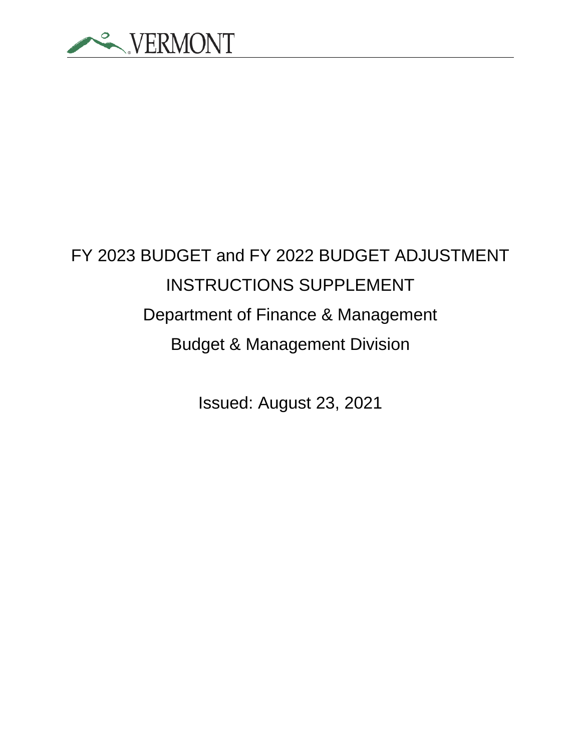

# FY 2023 BUDGET and FY 2022 BUDGET ADJUSTMENT INSTRUCTIONS SUPPLEMENT Department of Finance & Management Budget & Management Division

Issued: August 23, 2021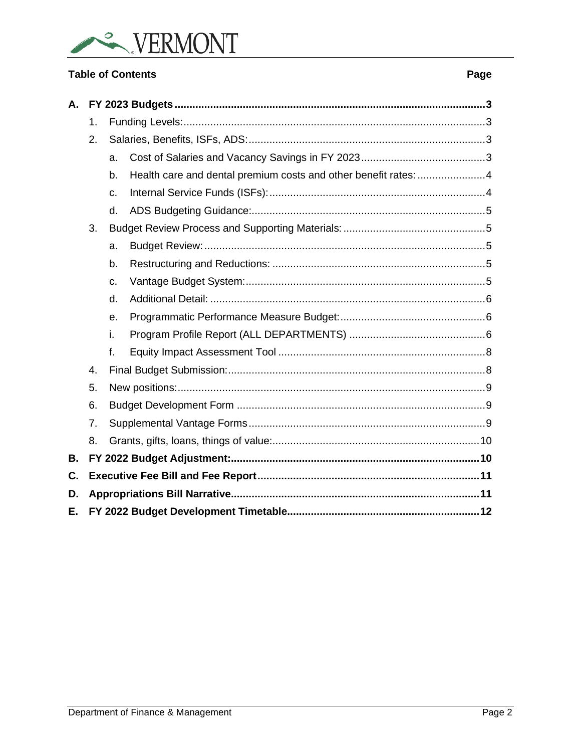

# **Table of Contents**

| А. |    |                |                                                                 |  |  |  |  |  |  |  |
|----|----|----------------|-----------------------------------------------------------------|--|--|--|--|--|--|--|
|    | 1. |                |                                                                 |  |  |  |  |  |  |  |
|    | 2. |                |                                                                 |  |  |  |  |  |  |  |
|    |    | a.             |                                                                 |  |  |  |  |  |  |  |
|    |    | b.             | Health care and dental premium costs and other benefit rates: 4 |  |  |  |  |  |  |  |
|    |    | C.             |                                                                 |  |  |  |  |  |  |  |
|    |    | d.             |                                                                 |  |  |  |  |  |  |  |
|    | 3. |                |                                                                 |  |  |  |  |  |  |  |
|    |    | a.             |                                                                 |  |  |  |  |  |  |  |
|    |    | b.             |                                                                 |  |  |  |  |  |  |  |
|    |    | C.             |                                                                 |  |  |  |  |  |  |  |
|    |    | d.             |                                                                 |  |  |  |  |  |  |  |
|    |    | $\theta$ .     |                                                                 |  |  |  |  |  |  |  |
|    |    | i.             |                                                                 |  |  |  |  |  |  |  |
|    |    | f <sub>r</sub> |                                                                 |  |  |  |  |  |  |  |
|    | 4. |                |                                                                 |  |  |  |  |  |  |  |
|    | 5. |                |                                                                 |  |  |  |  |  |  |  |
|    | 6. |                |                                                                 |  |  |  |  |  |  |  |
|    | 7. |                |                                                                 |  |  |  |  |  |  |  |
|    | 8. |                |                                                                 |  |  |  |  |  |  |  |
| В. |    |                |                                                                 |  |  |  |  |  |  |  |
| C. |    |                |                                                                 |  |  |  |  |  |  |  |
| D. |    |                |                                                                 |  |  |  |  |  |  |  |
| Е. |    |                |                                                                 |  |  |  |  |  |  |  |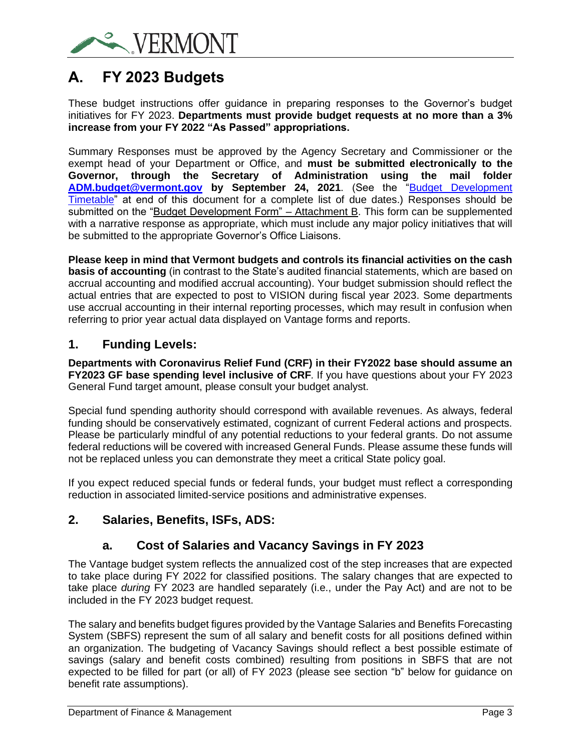

# <span id="page-7-0"></span>**A. FY 2023 Budgets**

These budget instructions offer guidance in preparing responses to the Governor's budget initiatives for FY 2023. **Departments must provide budget requests at no more than a 3% increase from your FY 2022 "As Passed" appropriations.**

Summary Responses must be approved by the Agency Secretary and Commissioner or the exempt head of your Department or Office, and **must be submitted electronically to the Governor, through the Secretary of Administration using the mail folder [ADM.budget@vermont.gov](mailto:ADM.budget@vermont.gov) by September 24, 2021**. (See the ["Budget Development](#page-16-0)  [Timetable"](#page-16-0) at end of this document for a complete list of due dates.) Responses should be submitted on the "Budget Development Form" – Attachment B. This form can be supplemented with a narrative response as appropriate, which must include any major policy initiatives that will be submitted to the appropriate Governor's Office Liaisons.

**Please keep in mind that Vermont budgets and controls its financial activities on the cash basis of accounting** (in contrast to the State's audited financial statements, which are based on accrual accounting and modified accrual accounting). Your budget submission should reflect the actual entries that are expected to post to VISION during fiscal year 2023. Some departments use accrual accounting in their internal reporting processes, which may result in confusion when referring to prior year actual data displayed on Vantage forms and reports.

# <span id="page-7-1"></span>**1. Funding Levels:**

**Departments with Coronavirus Relief Fund (CRF) in their FY2022 base should assume an FY2023 GF base spending level inclusive of CRF***.* If you have questions about your FY 2023 General Fund target amount, please consult your budget analyst.

Special fund spending authority should correspond with available revenues. As always, federal funding should be conservatively estimated, cognizant of current Federal actions and prospects. Please be particularly mindful of any potential reductions to your federal grants. Do not assume federal reductions will be covered with increased General Funds. Please assume these funds will not be replaced unless you can demonstrate they meet a critical State policy goal.

If you expect reduced special funds or federal funds, your budget must reflect a corresponding reduction in associated limited-service positions and administrative expenses.

# <span id="page-7-3"></span><span id="page-7-2"></span>**2. Salaries, Benefits, ISFs, ADS:**

# **a. Cost of Salaries and Vacancy Savings in FY 2023**

The Vantage budget system reflects the annualized cost of the step increases that are expected to take place during FY 2022 for classified positions. The salary changes that are expected to take place *during* FY 2023 are handled separately (i.e., under the Pay Act) and are not to be included in the FY 2023 budget request.

The salary and benefits budget figures provided by the Vantage Salaries and Benefits Forecasting System (SBFS) represent the sum of all salary and benefit costs for all positions defined within an organization. The budgeting of Vacancy Savings should reflect a best possible estimate of savings (salary and benefit costs combined) resulting from positions in SBFS that are not expected to be filled for part (or all) of FY 2023 (please see section "b" below for guidance on benefit rate assumptions).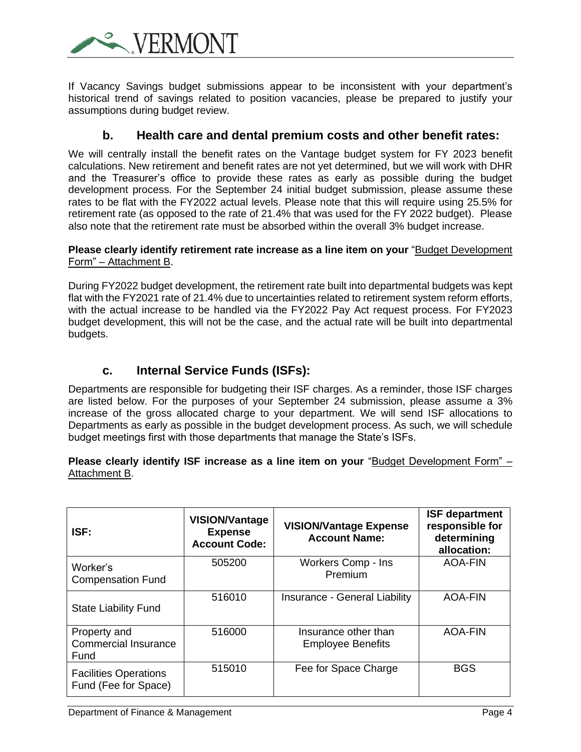**FRMO** 

If Vacancy Savings budget submissions appear to be inconsistent with your department's historical trend of savings related to position vacancies, please be prepared to justify your assumptions during budget review.

# **b. Health care and dental premium costs and other benefit rates:**

<span id="page-8-0"></span>We will centrally install the benefit rates on the Vantage budget system for FY 2023 benefit calculations. New retirement and benefit rates are not yet determined, but we will work with DHR and the Treasurer's office to provide these rates as early as possible during the budget development process. For the September 24 initial budget submission, please assume these rates to be flat with the FY2022 actual levels. Please note that this will require using 25.5% for retirement rate (as opposed to the rate of 21.4% that was used for the FY 2022 budget). Please also note that the retirement rate must be absorbed within the overall 3% budget increase.

## **Please clearly identify retirement rate increase as a line item on your** "Budget Development Form" – Attachment B.

During FY2022 budget development, the retirement rate built into departmental budgets was kept flat with the FY2021 rate of 21.4% due to uncertainties related to retirement system reform efforts, with the actual increase to be handled via the FY2022 Pay Act request process. For FY2023 budget development, this will not be the case, and the actual rate will be built into departmental budgets.

# **c. Internal Service Funds (ISFs):**

<span id="page-8-1"></span>Departments are responsible for budgeting their ISF charges. As a reminder, those ISF charges are listed below. For the purposes of your September 24 submission, please assume a 3% increase of the gross allocated charge to your department. We will send ISF allocations to Departments as early as possible in the budget development process. As such, we will schedule budget meetings first with those departments that manage the State's ISFs.

## **Please clearly identify ISF increase as a line item on your** "Budget Development Form" – Attachment B.

| ISF:                                                 | <b>VISION/Vantage</b><br><b>Expense</b><br><b>Account Code:</b> | <b>VISION/Vantage Expense</b><br><b>Account Name:</b> | <b>ISF department</b><br>responsible for<br>determining<br>allocation: |  |  |
|------------------------------------------------------|-----------------------------------------------------------------|-------------------------------------------------------|------------------------------------------------------------------------|--|--|
| Worker's<br><b>Compensation Fund</b>                 | 505200                                                          | Workers Comp - Ins<br>Premium                         | <b>AOA-FIN</b>                                                         |  |  |
| <b>State Liability Fund</b>                          | 516010                                                          | Insurance - General Liability                         | <b>AOA-FIN</b>                                                         |  |  |
| Property and<br><b>Commercial Insurance</b><br>Fund  | 516000                                                          | Insurance other than<br><b>Employee Benefits</b>      | <b>AOA-FIN</b>                                                         |  |  |
| <b>Facilities Operations</b><br>Fund (Fee for Space) | 515010                                                          | Fee for Space Charge                                  | <b>BGS</b>                                                             |  |  |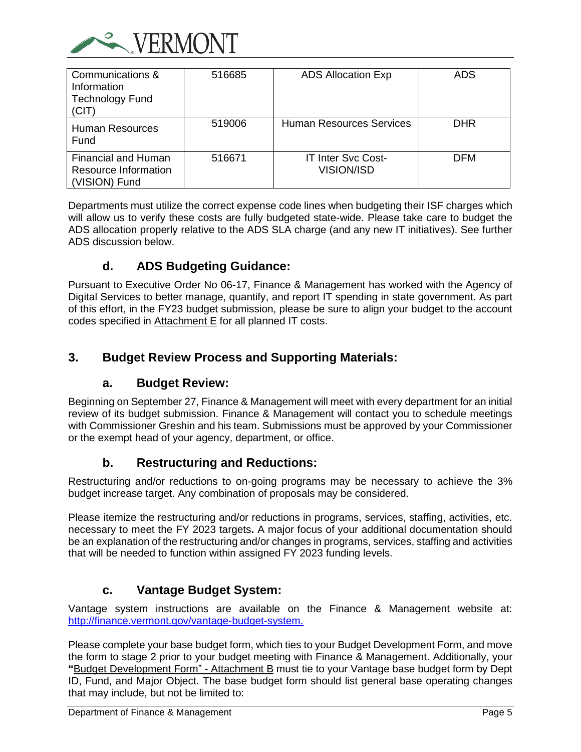

| Communications &<br>Information<br><b>Technology Fund</b><br>(CIT)         | 516685 | <b>ADS Allocation Exp</b>                      | ADS        |
|----------------------------------------------------------------------------|--------|------------------------------------------------|------------|
| Human Resources<br>Fund                                                    | 519006 | <b>Human Resources Services</b>                | <b>DHR</b> |
| <b>Financial and Human</b><br><b>Resource Information</b><br>(VISION) Fund | 516671 | <b>IT Inter Svc Cost-</b><br><b>VISION/ISD</b> | <b>DFM</b> |

Departments must utilize the correct expense code lines when budgeting their ISF charges which will allow us to verify these costs are fully budgeted state-wide. Please take care to budget the ADS allocation properly relative to the ADS SLA charge (and any new IT initiatives). See further ADS discussion below.

# **d. ADS Budgeting Guidance:**

<span id="page-9-0"></span>Pursuant to Executive Order No 06-17, Finance & Management has worked with the Agency of Digital Services to better manage, quantify, and report IT spending in state government. As part of this effort, in the FY23 budget submission, please be sure to align your budget to the account codes specified in Attachment E for all planned IT costs.

# <span id="page-9-2"></span><span id="page-9-1"></span>**3. Budget Review Process and Supporting Materials:**

# **a. Budget Review:**

Beginning on September 27, Finance & Management will meet with every department for an initial review of its budget submission. Finance & Management will contact you to schedule meetings with Commissioner Greshin and his team. Submissions must be approved by your Commissioner or the exempt head of your agency, department, or office.

# **b. Restructuring and Reductions:**

<span id="page-9-3"></span>Restructuring and/or reductions to on-going programs may be necessary to achieve the 3% budget increase target. Any combination of proposals may be considered.

Please itemize the restructuring and/or reductions in programs, services, staffing, activities, etc. necessary to meet the FY 2023 targets**.** A major focus of your additional documentation should be an explanation of the restructuring and/or changes in programs, services, staffing and activities that will be needed to function within assigned FY 2023 funding levels.

# **c. Vantage Budget System:**

<span id="page-9-4"></span>Vantage system instructions are available on the Finance & Management website at: [http://finance.vermont.gov/vantage-budget-system.](http://finance.vermont.gov/vantage-budget-system)

Please complete your base budget form, which ties to your Budget Development Form, and move the form to stage 2 prior to your budget meeting with Finance & Management. Additionally, your **"**Budget Development Form" - Attachment B must tie to your Vantage base budget form by Dept ID, Fund, and Major Object. The base budget form should list general base operating changes that may include, but not be limited to: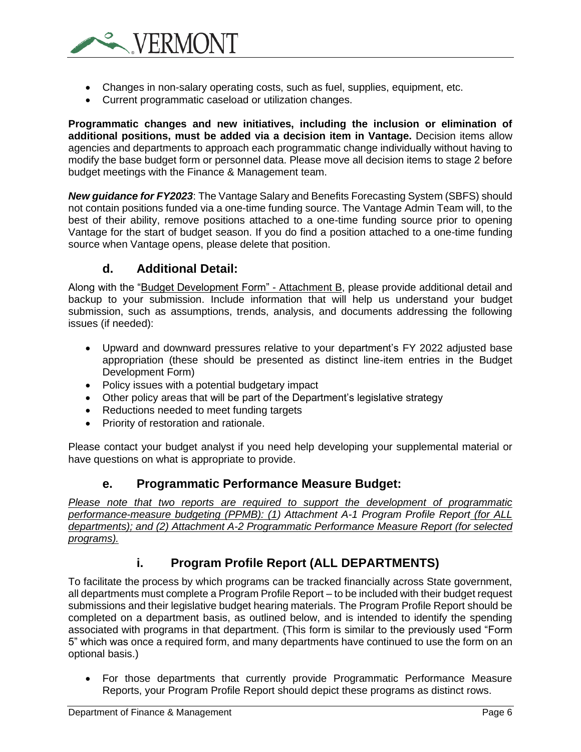

- Changes in non-salary operating costs, such as fuel, supplies, equipment, etc.
- Current programmatic caseload or utilization changes.

**Programmatic changes and new initiatives, including the inclusion or elimination of additional positions, must be added via a decision item in Vantage.** Decision items allow agencies and departments to approach each programmatic change individually without having to modify the base budget form or personnel data. Please move all decision items to stage 2 before budget meetings with the Finance & Management team.

*New guidance for FY2023*: The Vantage Salary and Benefits Forecasting System (SBFS) should not contain positions funded via a one-time funding source. The Vantage Admin Team will, to the best of their ability, remove positions attached to a one-time funding source prior to opening Vantage for the start of budget season. If you do find a position attached to a one-time funding source when Vantage opens, please delete that position.

# **d. Additional Detail:**

<span id="page-10-0"></span>Along with the "Budget Development Form" - Attachment B, please provide additional detail and backup to your submission. Include information that will help us understand your budget submission, such as assumptions, trends, analysis, and documents addressing the following issues (if needed):

- Upward and downward pressures relative to your department's FY 2022 adjusted base appropriation (these should be presented as distinct line-item entries in the Budget Development Form)
- Policy issues with a potential budgetary impact
- Other policy areas that will be part of the Department's legislative strategy
- Reductions needed to meet funding targets
- Priority of restoration and rationale.

<span id="page-10-1"></span>Please contact your budget analyst if you need help developing your supplemental material or have questions on what is appropriate to provide.

## **e. Programmatic Performance Measure Budget:**

*Please note that two reports are required to support the development of programmatic performance-measure budgeting (PPMB): (1) Attachment A-1 Program Profile Report (for ALL departments); and (2) Attachment A-2 Programmatic Performance Measure Report (for selected programs).*

# <span id="page-10-2"></span>**i. Program Profile Report (ALL DEPARTMENTS)**

To facilitate the process by which programs can be tracked financially across State government, all departments must complete a Program Profile Report – to be included with their budget request submissions and their legislative budget hearing materials. The Program Profile Report should be completed on a department basis, as outlined below, and is intended to identify the spending associated with programs in that department. (This form is similar to the previously used "Form 5" which was once a required form, and many departments have continued to use the form on an optional basis.)

• For those departments that currently provide Programmatic Performance Measure Reports, your Program Profile Report should depict these programs as distinct rows.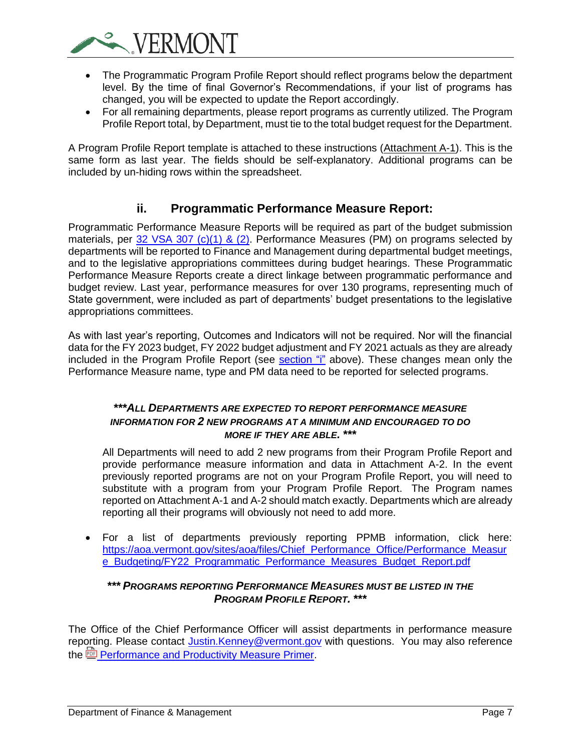

- The Programmatic Program Profile Report should reflect programs below the department level. By the time of final Governor's Recommendations, if your list of programs has changed, you will be expected to update the Report accordingly.
- For all remaining departments, please report programs as currently utilized. The Program Profile Report total, by Department, must tie to the total budget request for the Department.

A Program Profile Report template is attached to these instructions (Attachment A-1). This is the same form as last year. The fields should be self-explanatory. Additional programs can be included by un-hiding rows within the spreadsheet.

# **ii. Programmatic Performance Measure Report:**

Programmatic Performance Measure Reports will be required as part of the budget submission materials, per [32 VSA 307 \(c\)\(1\) & \(2\).](https://legislature.vermont.gov/statutes/section/32/005/00307) Performance Measures (PM) on programs selected by departments will be reported to Finance and Management during departmental budget meetings, and to the legislative appropriations committees during budget hearings. These Programmatic Performance Measure Reports create a direct linkage between programmatic performance and budget review. Last year, performance measures for over 130 programs, representing much of State government, were included as part of departments' budget presentations to the legislative appropriations committees.

As with last year's reporting, Outcomes and Indicators will not be required. Nor will the financial data for the FY 2023 budget, FY 2022 budget adjustment and FY 2021 actuals as they are already included in the Program Profile Report (see [section "i"](https://vermontgov-my.sharepoint.com/personal/hardy_merrill_vermont_gov/Documents/FY%202023%20Budget%20Instructions%20-%20Technical%20Supplement.docx#_i.__Program) above). These changes mean only the Performance Measure name, type and PM data need to be reported for selected programs.

## *\*\*\*ALL DEPARTMENTS ARE EXPECTED TO REPORT PERFORMANCE MEASURE INFORMATION FOR 2 NEW PROGRAMS AT A MINIMUM AND ENCOURAGED TO DO MORE IF THEY ARE ABLE. \*\*\**

All Departments will need to add 2 new programs from their Program Profile Report and provide performance measure information and data in Attachment A-2. In the event previously reported programs are not on your Program Profile Report, you will need to substitute with a program from your Program Profile Report. The Program names reported on Attachment A-1 and A-2 should match exactly. Departments which are already reporting all their programs will obviously not need to add more.

• For a list of departments previously reporting PPMB information, click here: [https://aoa.vermont.gov/sites/aoa/files/Chief\\_Performance\\_Office/Performance\\_Measur](https://aoa.vermont.gov/sites/aoa/files/Chief_Performance_Office/Performance_Measure_Budgeting/FY22_Programmatic_Performance_Measures_Budget_Report.pdf) [e\\_Budgeting/FY22\\_Programmatic\\_Performance\\_Measures\\_Budget\\_Report.pdf](https://aoa.vermont.gov/sites/aoa/files/Chief_Performance_Office/Performance_Measure_Budgeting/FY22_Programmatic_Performance_Measures_Budget_Report.pdf)

## *\*\*\* PROGRAMS REPORTING PERFORMANCE MEASURES MUST BE LISTED IN THE PROGRAM PROFILE REPORT. \*\*\**

The Office of the Chief Performance Officer will assist departments in performance measure reporting. Please contact *Justin.Kenney@vermont.gov* with questions. You may also reference the <u>poule</u> [Performance and Productivity Measure Primer.](https://vermontgov.sharepoint.com/sites/AOA/CPI/Documents/Performance%20and%20Productivity%20Measure%20Primer.pdf)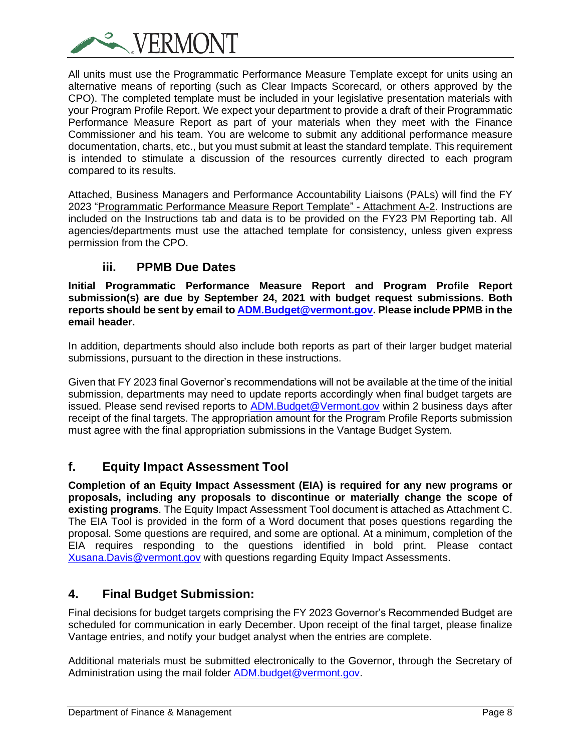

All units must use the Programmatic Performance Measure Template except for units using an alternative means of reporting (such as Clear Impacts Scorecard, or others approved by the CPO). The completed template must be included in your legislative presentation materials with your Program Profile Report. We expect your department to provide a draft of their Programmatic Performance Measure Report as part of your materials when they meet with the Finance Commissioner and his team. You are welcome to submit any additional performance measure documentation, charts, etc., but you must submit at least the standard template. This requirement is intended to stimulate a discussion of the resources currently directed to each program compared to its results.

Attached, Business Managers and Performance Accountability Liaisons (PALs) will find the FY 2023 "Programmatic Performance Measure Report Template" - Attachment A-2. Instructions are included on the Instructions tab and data is to be provided on the FY23 PM Reporting tab. All agencies/departments must use the attached template for consistency, unless given express permission from the CPO.

# **iii. PPMB Due Dates**

**Initial Programmatic Performance Measure Report and Program Profile Report submission(s) are due by September 24, 2021 with budget request submissions. Both reports should be sent by email to [ADM.Budget@vermont.gov.](mailto:ADM.Budget@vermont.gov) Please include PPMB in the email header.**

In addition, departments should also include both reports as part of their larger budget material submissions, pursuant to the direction in these instructions.

Given that FY 2023 final Governor's recommendations will not be available at the time of the initial submission, departments may need to update reports accordingly when final budget targets are issued. Please send revised reports to [ADM.Budget@Vermont.gov](mailto:ADM.Budget@Vermont.gov) within 2 business days after receipt of the final targets. The appropriation amount for the Program Profile Reports submission must agree with the final appropriation submissions in the Vantage Budget System.

# <span id="page-12-0"></span>**f. Equity Impact Assessment Tool**

**Completion of an Equity Impact Assessment (EIA) is required for any new programs or proposals, including any proposals to discontinue or materially change the scope of existing programs**. The Equity Impact Assessment Tool document is attached as Attachment C. The EIA Tool is provided in the form of a Word document that poses questions regarding the proposal. Some questions are required, and some are optional. At a minimum, completion of the EIA requires responding to the questions identified in bold print. Please contact [Xusana.Davis@vermont.gov](mailto:Xusana.Davis@vermont.gov) with questions regarding Equity Impact Assessments.

# <span id="page-12-1"></span>**4. Final Budget Submission:**

Final decisions for budget targets comprising the FY 2023 Governor's Recommended Budget are scheduled for communication in early December. Upon receipt of the final target, please finalize Vantage entries, and notify your budget analyst when the entries are complete.

Additional materials must be submitted electronically to the Governor, through the Secretary of Administration using the mail folder [ADM.budget@vermont.gov.](mailto:ADM.budget@vermont.gov)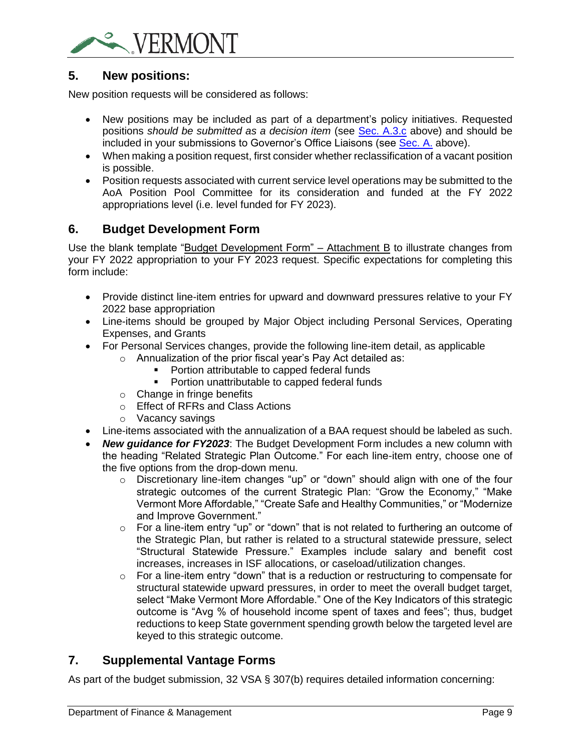

# <span id="page-13-0"></span>**5. New positions:**

New position requests will be considered as follows:

- New positions may be included as part of a department's policy initiatives. Requested positions *should be submitted as a decision item* (see [Sec. A.3.c](#page-9-4) above) and should be included in your submissions to Governor's Office Liaisons (see [Sec. A.](#page-7-0) above).
- When making a position request, first consider whether reclassification of a vacant position is possible.
- Position requests associated with current service level operations may be submitted to the AoA Position Pool Committee for its consideration and funded at the FY 2022 appropriations level (i.e. level funded for FY 2023).

# <span id="page-13-1"></span>**6. Budget Development Form**

Use the blank template "Budget Development Form" – Attachment B to illustrate changes from your FY 2022 appropriation to your FY 2023 request. Specific expectations for completing this form include:

- Provide distinct line-item entries for upward and downward pressures relative to your FY 2022 base appropriation
- Line-items should be grouped by Major Object including Personal Services, Operating Expenses, and Grants
- For Personal Services changes, provide the following line-item detail, as applicable
	- o Annualization of the prior fiscal year's Pay Act detailed as:
		- Portion attributable to capped federal funds
		- Portion unattributable to capped federal funds
	- o Change in fringe benefits
	- o Effect of RFRs and Class Actions
	- o Vacancy savings
- Line-items associated with the annualization of a BAA request should be labeled as such.
- *New guidance for FY2023*: The Budget Development Form includes a new column with the heading "Related Strategic Plan Outcome." For each line-item entry, choose one of the five options from the drop-down menu.
	- $\circ$  Discretionary line-item changes "up" or "down" should align with one of the four strategic outcomes of the current Strategic Plan: "Grow the Economy," "Make Vermont More Affordable," "Create Safe and Healthy Communities," or "Modernize and Improve Government."
	- o For a line-item entry "up" or "down" that is not related to furthering an outcome of the Strategic Plan, but rather is related to a structural statewide pressure, select "Structural Statewide Pressure." Examples include salary and benefit cost increases, increases in ISF allocations, or caseload/utilization changes.
	- o For a line-item entry "down" that is a reduction or restructuring to compensate for structural statewide upward pressures, in order to meet the overall budget target, select "Make Vermont More Affordable." One of the Key Indicators of this strategic outcome is "Avg % of household income spent of taxes and fees"; thus, budget reductions to keep State government spending growth below the targeted level are keyed to this strategic outcome.

# <span id="page-13-2"></span>**7. Supplemental Vantage Forms**

As part of the budget submission, 32 VSA § 307(b) requires detailed information concerning: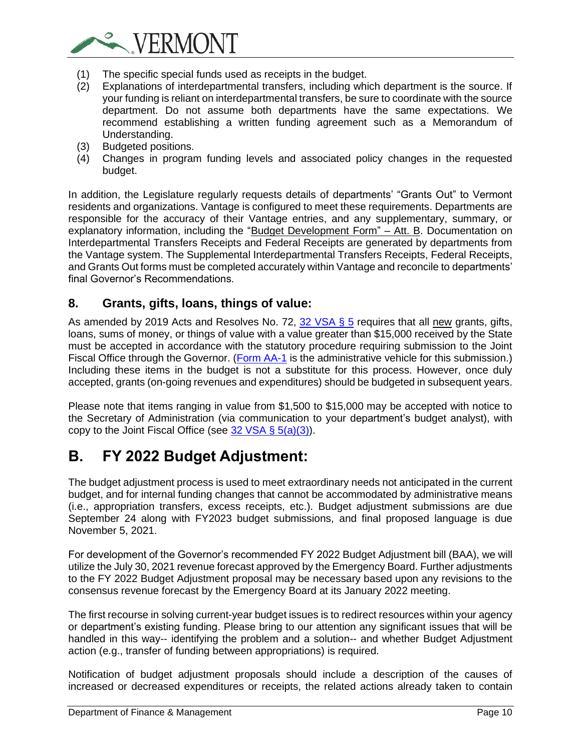

- (1) The specific special funds used as receipts in the budget.
- (2) Explanations of interdepartmental transfers, including which department is the source. If your funding is reliant on interdepartmental transfers, be sure to coordinate with the source department. Do not assume both departments have the same expectations. We recommend establishing a written funding agreement such as a Memorandum of Understanding.
- (3) Budgeted positions.
- (4) Changes in program funding levels and associated policy changes in the requested budget.

In addition, the Legislature regularly requests details of departments' "Grants Out" to Vermont residents and organizations. Vantage is configured to meet these requirements. Departments are responsible for the accuracy of their Vantage entries, and any supplementary, summary, or explanatory information, including the "Budget Development Form" – Att. B. Documentation on Interdepartmental Transfers Receipts and Federal Receipts are generated by departments from the Vantage system. The Supplemental Interdepartmental Transfers Receipts, Federal Receipts, and Grants Out forms must be completed accurately within Vantage and reconcile to departments' final Governor's Recommendations.

# <span id="page-14-0"></span>**8. Grants, gifts, loans, things of value:**

As amended by 2019 Acts and Resolves No. 72, [32 VSA § 5](https://legislature.vermont.gov/statutes/section/32/001/00005) requires that all new grants, gifts, loans, sums of money, or things of value with a value greater than \$15,000 received by the State must be accepted in accordance with the statutory procedure requiring submission to the Joint Fiscal Office through the Governor. [\(Form AA-1](https://finance.vermont.gov/sites/finance/files/documents/Forms/Budget/FIN-Grant_Acceptance_AA-1.doc) is the administrative vehicle for this submission.) Including these items in the budget is not a substitute for this process. However, once duly accepted, grants (on-going revenues and expenditures) should be budgeted in subsequent years.

Please note that items ranging in value from \$1,500 to \$15,000 may be accepted with notice to the Secretary of Administration (via communication to your department's budget analyst), with copy to the Joint Fiscal Office (see 32 VSA  $\S$  5(a)(3)).

# <span id="page-14-1"></span>**B. FY 2022 Budget Adjustment:**

The budget adjustment process is used to meet extraordinary needs not anticipated in the current budget, and for internal funding changes that cannot be accommodated by administrative means (i.e., appropriation transfers, excess receipts, etc.). Budget adjustment submissions are due September 24 along with FY2023 budget submissions, and final proposed language is due November 5, 2021.

For development of the Governor's recommended FY 2022 Budget Adjustment bill (BAA), we will utilize the July 30, 2021 revenue forecast approved by the Emergency Board. Further adjustments to the FY 2022 Budget Adjustment proposal may be necessary based upon any revisions to the consensus revenue forecast by the Emergency Board at its January 2022 meeting.

The first recourse in solving current-year budget issues is to redirect resources within your agency or department's existing funding. Please bring to our attention any significant issues that will be handled in this way-- identifying the problem and a solution-- and whether Budget Adjustment action (e.g., transfer of funding between appropriations) is required.

Notification of budget adjustment proposals should include a description of the causes of increased or decreased expenditures or receipts, the related actions already taken to contain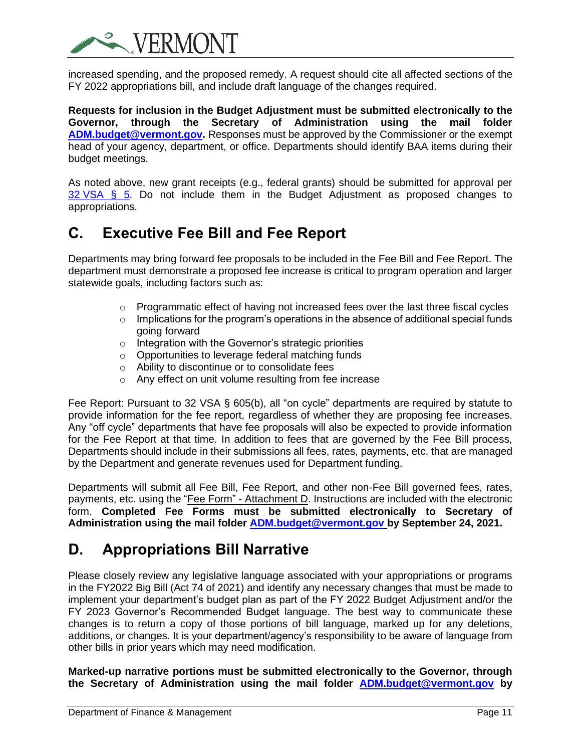

increased spending, and the proposed remedy. A request should cite all affected sections of the FY 2022 appropriations bill, and include draft language of the changes required.

**Requests for inclusion in the Budget Adjustment must be submitted electronically to the Governor, through the Secretary of Administration using the mail folder [ADM.budget@vermont.gov.](mailto:ADM.budget@vermont.gov)** Responses must be approved by the Commissioner or the exempt head of your agency, department, or office. Departments should identify BAA items during their budget meetings.

As noted above, new grant receipts (e.g., federal grants) should be submitted for approval per  $32 \text{ VSA } \S$  5. Do not include them in the Budget Adjustment as proposed changes to appropriations.

# <span id="page-15-0"></span>**C. Executive Fee Bill and Fee Report**

Departments may bring forward fee proposals to be included in the Fee Bill and Fee Report. The department must demonstrate a proposed fee increase is critical to program operation and larger statewide goals, including factors such as:

- $\circ$  Programmatic effect of having not increased fees over the last three fiscal cycles
- $\circ$  Implications for the program's operations in the absence of additional special funds going forward
- o Integration with the Governor's strategic priorities
- o Opportunities to leverage federal matching funds
- o Ability to discontinue or to consolidate fees
- o Any effect on unit volume resulting from fee increase

Fee Report: Pursuant to 32 VSA § 605(b), all "on cycle" departments are required by statute to provide information for the fee report, regardless of whether they are proposing fee increases. Any "off cycle" departments that have fee proposals will also be expected to provide information for the Fee Report at that time. In addition to fees that are governed by the Fee Bill process, Departments should include in their submissions all fees, rates, payments, etc. that are managed by the Department and generate revenues used for Department funding.

Departments will submit all Fee Bill, Fee Report, and other non-Fee Bill governed fees, rates, payments, etc. using the "Fee Form" - Attachment D. Instructions are included with the electronic form. **Completed Fee Forms must be submitted electronically to Secretary of Administration using the mail folder [ADM.budget@vermont.gov](mailto:ADM.budget@vermont.gov) by September 24, 2021.**

# <span id="page-15-1"></span>**D. Appropriations Bill Narrative**

Please closely review any legislative language associated with your appropriations or programs in the FY2022 Big Bill (Act 74 of 2021) and identify any necessary changes that must be made to implement your department's budget plan as part of the FY 2022 Budget Adjustment and/or the FY 2023 Governor's Recommended Budget language. The best way to communicate these changes is to return a copy of those portions of bill language, marked up for any deletions, additions, or changes. It is your department/agency's responsibility to be aware of language from other bills in prior years which may need modification.

**Marked-up narrative portions must be submitted electronically to the Governor, through the Secretary of Administration using the mail folder [ADM.budget@vermont.gov](mailto:ADM.budget@vermont.gov) by**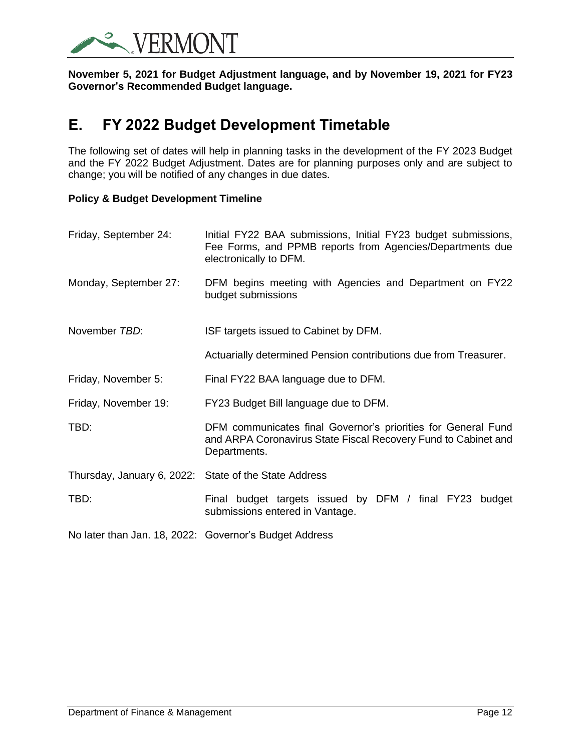

**November 5, 2021 for Budget Adjustment language, and by November 19, 2021 for FY23 Governor's Recommended Budget language.** 

# <span id="page-16-0"></span>**E. FY 2022 Budget Development Timetable**

The following set of dates will help in planning tasks in the development of the FY 2023 Budget and the FY 2022 Budget Adjustment. Dates are for planning purposes only and are subject to change; you will be notified of any changes in due dates.

## **Policy & Budget Development Timeline**

| Friday, September 24:                                  | Initial FY22 BAA submissions, Initial FY23 budget submissions,<br>Fee Forms, and PPMB reports from Agencies/Departments due<br>electronically to DFM. |  |  |  |  |  |  |  |
|--------------------------------------------------------|-------------------------------------------------------------------------------------------------------------------------------------------------------|--|--|--|--|--|--|--|
| Monday, September 27:                                  | DFM begins meeting with Agencies and Department on FY22<br>budget submissions                                                                         |  |  |  |  |  |  |  |
| November TBD:                                          | ISF targets issued to Cabinet by DFM.                                                                                                                 |  |  |  |  |  |  |  |
|                                                        | Actuarially determined Pension contributions due from Treasurer.                                                                                      |  |  |  |  |  |  |  |
| Friday, November 5:                                    | Final FY22 BAA language due to DFM.                                                                                                                   |  |  |  |  |  |  |  |
| Friday, November 19:                                   | FY23 Budget Bill language due to DFM.                                                                                                                 |  |  |  |  |  |  |  |
| TBD:                                                   | DFM communicates final Governor's priorities for General Fund<br>and ARPA Coronavirus State Fiscal Recovery Fund to Cabinet and<br>Departments.       |  |  |  |  |  |  |  |
| Thursday, January 6, 2022: State of the State Address  |                                                                                                                                                       |  |  |  |  |  |  |  |
| TBD:                                                   | Final budget targets issued by DFM / final FY23 budget<br>submissions entered in Vantage.                                                             |  |  |  |  |  |  |  |
| No later than Jan. 18, 2022: Governor's Budget Address |                                                                                                                                                       |  |  |  |  |  |  |  |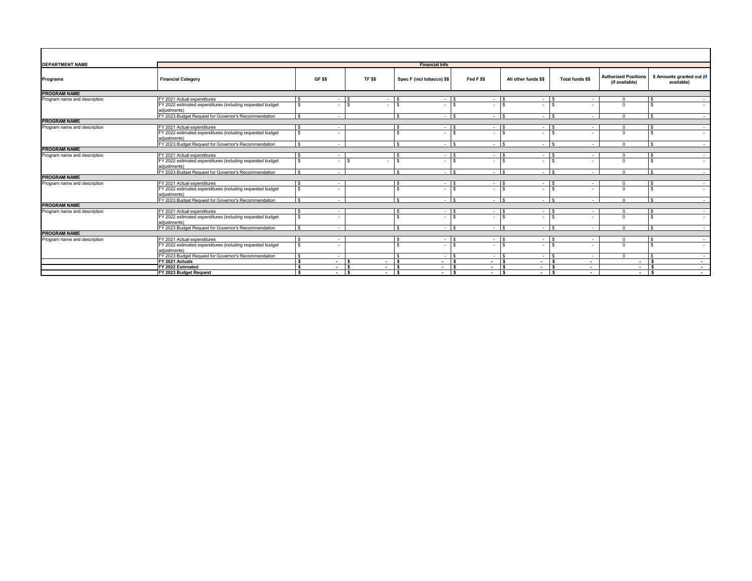| <b>DEPARTMENT NAME</b>       |                                                                            | <b>Financial Info</b>          |                          |                            |                          |                          |                          |                                               |                                          |  |  |  |  |  |
|------------------------------|----------------------------------------------------------------------------|--------------------------------|--------------------------|----------------------------|--------------------------|--------------------------|--------------------------|-----------------------------------------------|------------------------------------------|--|--|--|--|--|
| Programs                     | <b>Financial Category</b>                                                  | GF \$\$                        | TF <sub>\$\$</sub>       | Spec F (incl tobacco) \$\$ | Fed F \$\$               | All other funds \$\$     | <b>Total funds \$\$</b>  | <b>Authorized Positions</b><br>(if available) | \$ Amounts granted out (if<br>available) |  |  |  |  |  |
| <b>PROGRAM NAME</b>          |                                                                            |                                |                          |                            |                          |                          |                          |                                               |                                          |  |  |  |  |  |
| Program name and description | FY 2021 Actual expenditures                                                |                                |                          |                            |                          |                          |                          |                                               |                                          |  |  |  |  |  |
|                              | FY 2022 estimated expenditures (including requested budget<br>adiustments) |                                |                          |                            |                          |                          |                          | $\Omega$                                      |                                          |  |  |  |  |  |
|                              | FY 2023 Budget Request for Governor's Recommendation                       | s.<br>$\overline{\phantom{a}}$ |                          | $\epsilon$                 | $\sim$                   | $\overline{a}$           | $\sim$<br>$\sim$         | $\Omega$                                      | l S<br>$\sim$                            |  |  |  |  |  |
| <b>PROGRAM NAME</b>          |                                                                            |                                |                          |                            |                          |                          |                          |                                               |                                          |  |  |  |  |  |
| Program name and description | FY 2021 Actual expenditures                                                | $\overline{\phantom{a}}$       |                          |                            |                          | $\sim$                   |                          | $\Omega$                                      | $\sim$                                   |  |  |  |  |  |
|                              | FY 2022 estimated expenditures (including requested budget<br>adiustments) |                                |                          |                            |                          |                          |                          | $\Omega$                                      | $\sim$                                   |  |  |  |  |  |
|                              | FY 2023 Budget Request for Governor's Recommendation                       | $\overline{a}$                 |                          | $\sim$ 1                   | $\overline{\phantom{a}}$ | - 1                      | $\overline{\phantom{a}}$ | $\Omega$                                      | $\mathbf{s}$<br>$\sim$                   |  |  |  |  |  |
| <b>PROGRAM NAME</b>          |                                                                            |                                |                          |                            |                          |                          |                          |                                               |                                          |  |  |  |  |  |
| Program name and description | FY 2021 Actual expenditures                                                |                                |                          |                            |                          | $\overline{\phantom{a}}$ |                          | $\Omega$                                      | $\sim$                                   |  |  |  |  |  |
|                              | FY 2022 estimated expenditures (including requested budget<br>adiustments) | s.                             | $\epsilon$               | $\epsilon$                 |                          |                          |                          | $\Omega$                                      | $\sim$                                   |  |  |  |  |  |
|                              | FY 2023 Budget Request for Governor's Recommendation                       | $\overline{\phantom{a}}$       |                          |                            |                          | $\sim$                   | $\overline{a}$           | $\Omega$                                      | $\sim$                                   |  |  |  |  |  |
| <b>PROGRAM NAME</b>          |                                                                            |                                |                          |                            |                          |                          |                          |                                               |                                          |  |  |  |  |  |
| Program name and description | FY 2021 Actual expenditures                                                | $\overline{\phantom{a}}$       |                          | ٠.                         | $\overline{\phantom{a}}$ | $\overline{\phantom{a}}$ | $\overline{a}$           | $\Omega$                                      | $\sim$                                   |  |  |  |  |  |
|                              | FY 2022 estimated expenditures (including requested budget<br>adjustments) | $\overline{\phantom{a}}$       |                          |                            |                          |                          |                          | $\Omega$                                      | $\sim$                                   |  |  |  |  |  |
|                              | FY 2023 Budget Request for Governor's Recommendation                       | $\overline{\phantom{a}}$       |                          |                            |                          | $\overline{\phantom{a}}$ | $\overline{\phantom{a}}$ | $\Omega$                                      | $\sim$                                   |  |  |  |  |  |
| <b>PROGRAM NAME</b>          |                                                                            |                                |                          |                            |                          |                          |                          |                                               |                                          |  |  |  |  |  |
| Program name and description | FY 2021 Actual expenditures                                                | $\sim$                         |                          | - 2                        | - 11                     | $\overline{\phantom{a}}$ | - 11                     | $\Omega$                                      | $\sim$                                   |  |  |  |  |  |
|                              | FY 2022 estimated expenditures (including requested budget<br>adiustments) | $\overline{\phantom{a}}$       |                          |                            |                          |                          |                          | $\Omega$                                      | $\sim$                                   |  |  |  |  |  |
|                              | FY 2023 Budget Request for Governor's Recommendation                       | $\overline{a}$                 |                          |                            | $\overline{\phantom{a}}$ | $\overline{\phantom{a}}$ | $\overline{\phantom{a}}$ | $\Omega$                                      | $\sim$                                   |  |  |  |  |  |
| <b>PROGRAM NAME</b>          |                                                                            |                                |                          |                            |                          |                          |                          |                                               |                                          |  |  |  |  |  |
| Program name and description | FY 2021 Actual expenditures                                                | $\overline{\phantom{a}}$       |                          | $\sim$                     | $\overline{\phantom{a}}$ | $\sim$                   | $\overline{\phantom{a}}$ | $\Omega$                                      | $\sim$                                   |  |  |  |  |  |
|                              | FY 2022 estimated expenditures (including requested budget                 | $\overline{\phantom{a}}$       |                          |                            |                          |                          |                          | $\Omega$                                      | $\sim$                                   |  |  |  |  |  |
|                              | adiustments)                                                               |                                |                          |                            |                          |                          |                          |                                               |                                          |  |  |  |  |  |
|                              | FY 2023 Budget Request for Governor's Recommendation                       | $\sim$                         |                          | - 2                        | $\overline{\phantom{a}}$ | $\overline{\phantom{a}}$ | $\sim$                   | $\Omega$                                      | $\sim$                                   |  |  |  |  |  |
|                              | FY 2021 Actuals                                                            | s.<br>$\sim$                   | $\overline{\phantom{a}}$ | $\sim$                     | $\overline{\phantom{a}}$ | - 11                     | $\overline{a}$           |                                               | $\sim$                                   |  |  |  |  |  |
|                              | FY 2022 Estimated                                                          | $\sim$                         | $\overline{a}$           | $\sim$                     | $\sim$                   | $\overline{\phantom{a}}$ | $\overline{\phantom{a}}$ | $\overline{\phantom{a}}$                      | $\sim$                                   |  |  |  |  |  |
|                              | FY 2023 Budget Request                                                     | $\sim 100$                     | -S                       | $\overline{\phantom{a}}$   | $\sim$                   | $\sim$                   | $\blacksquare$           | $\sim$                                        | <b>Service</b>                           |  |  |  |  |  |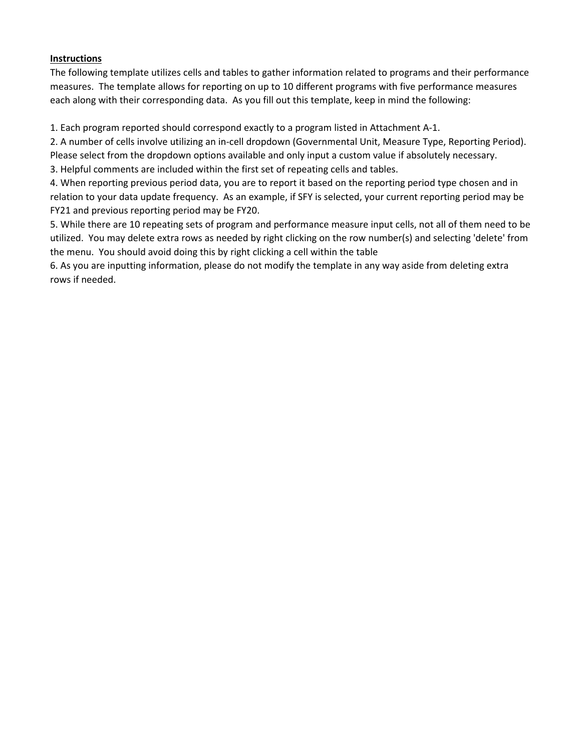## **Instructions**

The following template utilizes cells and tables to gather information related to programs and their performance measures. The template allows for reporting on up to 10 different programs with five performance measures each along with their corresponding data. As you fill out this template, keep in mind the following:

1. Each program reported should correspond exactly to a program listed in Attachment A-1.

2. A number of cells involve utilizing an in-cell dropdown (Governmental Unit, Measure Type, Reporting Period). Please select from the dropdown options available and only input a custom value if absolutely necessary.

3. Helpful comments are included within the first set of repeating cells and tables.

4. When reporting previous period data, you are to report it based on the reporting period type chosen and in relation to your data update frequency. As an example, if SFY is selected, your current reporting period may be FY21 and previous reporting period may be FY20.

5. While there are 10 repeating sets of program and performance measure input cells, not all of them need to be utilized. You may delete extra rows as needed by right clicking on the row number(s) and selecting 'delete' from the menu. You should avoid doing this by right clicking a cell within the table

6. As you are inputting information, please do not modify the template in any way aside from deleting extra rows if needed.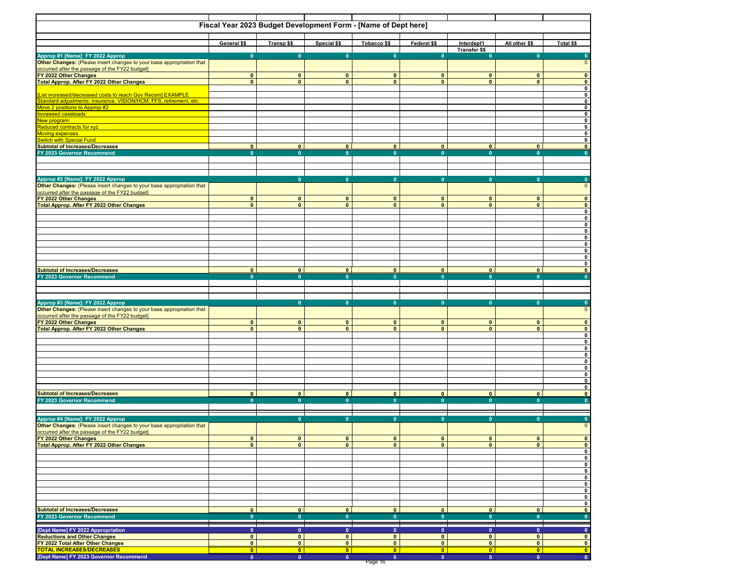|                                                                                                           | Fiscal Year 2023 Budget Development Form - [Name of Dept here] |                              |                                      |                             |                              |                                     |                                      |                                      |
|-----------------------------------------------------------------------------------------------------------|----------------------------------------------------------------|------------------------------|--------------------------------------|-----------------------------|------------------------------|-------------------------------------|--------------------------------------|--------------------------------------|
|                                                                                                           | General \$\$                                                   | Transp \$\$                  | Special \$\$                         | Tobacco \$\$                | Federal \$\$                 | Interdept'l<br><b>Transfer \$\$</b> | All other \$\$                       | Total \$\$                           |
|                                                                                                           | $\mathbf{0}$                                                   | $\mathbf{0}$                 | $\mathbf{0}$                         | $\mathbf{0}$                | $\mathbf{0}$                 | $\mathbf{0}$                        | $\mathbf{0}$                         | $\bullet$                            |
| Approp #1 [Name]: FY 2022 Approp<br>Other Changes: (Please insert changes to your base appropriation that |                                                                |                              |                                      |                             |                              |                                     |                                      | $\mathbf 0$                          |
| occurred after the passage of the FY22 budget]<br>FY 2022 Other Changes                                   |                                                                |                              |                                      |                             |                              |                                     |                                      |                                      |
| <b>Total Approp. After FY 2022 Other Changes</b>                                                          | $\mathbf{0}$<br>$\mathbf{0}$                                   | $\mathbf{0}$<br>$\mathbf{0}$ | $\mathbf{0}$<br>$\mathbf{0}$         | $\mathbf 0$<br>$\mathbf{0}$ | $\mathbf{0}$<br>$\mathbf{0}$ | $\mathbf{0}$<br>$\mathbf{0}$        | $\mathbf{0}$<br>$\mathbf{0}$         | $\pmb{0}$<br>$\pmb{\mathsf{o}}$      |
|                                                                                                           |                                                                |                              |                                      |                             |                              |                                     |                                      | $\mathbf 0$                          |
| [List increased/decreased costs to reach Gov Recom] EXAMPLE                                               |                                                                |                              |                                      |                             |                              |                                     |                                      | $\mathbf 0$                          |
| Standard adjustments: insurance, VISION/HCM, FFS, retirement, etc.                                        |                                                                |                              |                                      |                             |                              |                                     |                                      | $\mathbf{0}$                         |
| Move 2 positions to Approp #2<br>Increased caseloads                                                      |                                                                |                              |                                      |                             |                              |                                     |                                      | $\pmb{0}$<br>$\pmb{0}$               |
| New program:                                                                                              |                                                                |                              |                                      |                             |                              |                                     |                                      | $\pmb{0}$                            |
| <b>Reduced contracts for xyz</b>                                                                          |                                                                |                              |                                      |                             |                              |                                     |                                      | $\mathbf{0}$                         |
| <b>Moving expenses</b>                                                                                    |                                                                |                              |                                      |                             |                              |                                     |                                      | $\pmb{0}$                            |
| <b>Switch with Special Fund</b>                                                                           | $\bullet$                                                      | $\overline{\mathbf{0}}$      | $\bullet$                            | $\bullet$                   | $\bullet$                    | $\overline{0}$                      | $\overline{0}$                       | $\mathbf{0}$<br>$\mathbf{0}$         |
| <b>Subtotal of Increases/Decreases</b><br>FY 2023 Governor Recommend                                      | $\mathbf{0}$                                                   | $\mathbf{0}$                 | $\mathbf{0}$                         | $\mathbf{0}$                | $\mathbf{0}$                 | $\mathbf{0}$                        | $\overline{\mathbf{0}}$              | $\overline{\mathbf{0}}$              |
|                                                                                                           |                                                                |                              |                                      |                             |                              |                                     |                                      |                                      |
|                                                                                                           |                                                                |                              |                                      |                             |                              |                                     |                                      |                                      |
|                                                                                                           |                                                                |                              |                                      |                             |                              |                                     |                                      |                                      |
| Approp #2 [Name]: FY 2022 Approp<br>Other Changes: (Please insert changes to your base appropriation that |                                                                | $\mathbf{0}$                 | $\mathbf{0}$                         | $\mathbf{0}$                | $\Omega$                     | $\mathbf{0}$                        | $\mathbf{0}$                         | $\bullet$<br>$\mathbf 0$             |
|                                                                                                           |                                                                |                              |                                      |                             |                              |                                     |                                      |                                      |
| occurred after the passage of the FY22 budget                                                             | $\mathbf{0}$                                                   | $\mathbf{0}$                 | $\mathbf{0}$                         | $\mathbf 0$                 | $\mathbf{0}$                 | $\mathbf{0}$                        | $\mathbf{0}$                         | $\overline{\mathbf{0}}$              |
| Total Approp. After FY 2022 Other Changes                                                                 | $\mathbf{0}$                                                   | $\mathbf{0}$                 | $\mathbf{0}$                         | $\mathbf{0}$                | $\mathbf{0}$                 | $\mathbf{0}$                        | $\mathbf{0}$                         | $\pmb{0}$                            |
|                                                                                                           |                                                                |                              |                                      |                             |                              |                                     |                                      | $\pmb{0}$                            |
|                                                                                                           |                                                                |                              |                                      |                             |                              |                                     |                                      | $\pmb{0}$<br>$\pmb{0}$               |
|                                                                                                           |                                                                |                              |                                      |                             |                              |                                     |                                      | $\mathbf 0$                          |
|                                                                                                           |                                                                |                              |                                      |                             |                              |                                     |                                      | $\mathbf 0$                          |
|                                                                                                           |                                                                |                              |                                      |                             |                              |                                     |                                      | $\pmb{0}$                            |
|                                                                                                           |                                                                |                              |                                      |                             |                              |                                     |                                      | $\pmb{0}$                            |
|                                                                                                           |                                                                |                              |                                      |                             |                              |                                     |                                      | $\pmb{0}$<br>$\mathbf{0}$            |
| <b>Subtotal of Increases/Decreases</b>                                                                    | $\mathbf{0}$                                                   | $\mathbf{0}$                 | $\bullet$                            | $\bullet$                   | $\mathbf{0}$                 | $\mathbf{0}$                        | $\mathbf{0}$                         | $\mathbf{0}$                         |
| FY 2023 Governor Recommend                                                                                | $\mathbf{0}$                                                   | $\mathbf{0}$                 | $\mathbf{0}$                         | $\mathbf{0}$                | $\mathbf{0}$                 | $\mathbf{0}$                        | $\mathbf{0}$                         | $\overline{0}$                       |
|                                                                                                           |                                                                |                              |                                      |                             |                              |                                     |                                      |                                      |
|                                                                                                           |                                                                |                              |                                      |                             |                              |                                     |                                      |                                      |
|                                                                                                           |                                                                | $\mathbf{0}$                 | $\mathbf{0}$                         | $\mathbf{0}$                | $\mathbf{0}$                 | $\mathbf{0}$                        | $\mathbf{0}$                         | $\mathbf{0}$                         |
| Approp #3 [Name]: FY 2022 Approp<br>Other Changes: (Please insert changes to your base appropriation that |                                                                |                              |                                      |                             |                              |                                     |                                      | $\pmb{0}$                            |
| occurred after the passage of the FY22 budget]<br>FY 2022 Other Changes                                   |                                                                |                              |                                      |                             |                              |                                     |                                      |                                      |
|                                                                                                           | $\mathbf{0}$                                                   | $\mathbf{0}$                 | $\mathbf 0$                          | $\mathbf{0}$                | $\pmb{0}$                    | $\mathbf{0}$                        | $\mathbf 0$                          | $\bullet$                            |
| <b>Total Approp. After FY 2022 Other Changes</b>                                                          | $\mathbf{0}$                                                   | $\mathbf{0}$                 | $\bullet$                            | $\mathbf{0}$                | $\mathbf{0}$                 | $\mathbf{0}$                        | $\mathbf{0}$                         | $\pmb{0}$<br>$\pmb{0}$               |
|                                                                                                           |                                                                |                              |                                      |                             |                              |                                     |                                      | $\pmb{0}$                            |
|                                                                                                           |                                                                |                              |                                      |                             |                              |                                     |                                      | $\pmb{0}$                            |
|                                                                                                           |                                                                |                              |                                      |                             |                              |                                     |                                      | $\pmb{0}$                            |
|                                                                                                           |                                                                |                              |                                      |                             |                              |                                     |                                      | $\pmb{0}$<br>$\mathbf 0$             |
|                                                                                                           |                                                                |                              |                                      |                             |                              |                                     |                                      | $\mathbf 0$                          |
|                                                                                                           |                                                                |                              |                                      |                             |                              |                                     |                                      | $\pmb{0}$                            |
|                                                                                                           |                                                                |                              |                                      |                             |                              |                                     |                                      | $\mathbf 0$                          |
| <b>Subtotal of Increases/Decreases</b>                                                                    | $\bullet$                                                      | $\bullet$                    | $\bullet$                            | $\bullet$                   | $\bullet$                    | $\bullet$                           | $\bullet$                            | $\mathbf{0}$                         |
| FY 2023 Governor Recommend                                                                                | $\overline{\mathbf{0}}$                                        | $\overline{\mathbf{0}}$      | $\overline{\mathbf{0}}$              | $\overline{0}$              | $\mathbf{0}$                 | $\mathbf{0}$                        | $\overline{0}$                       | $\overline{\mathbf{0}}$              |
|                                                                                                           |                                                                |                              |                                      |                             |                              |                                     |                                      |                                      |
| Approp #4 [Name]: FY 2022 Approp<br>Other Changes: (Please insert changes to your base appropriation that |                                                                | $\mathbf{0}$                 | $\bullet$                            | $\mathbf{0}$                | $\mathbf{0}$                 | $\mathbf{0}$                        | $\mathbf{0}$                         | $\bullet$                            |
|                                                                                                           |                                                                |                              |                                      |                             |                              |                                     |                                      | $\mathbf 0$                          |
| occurred after the passage of the FY22 budget]<br>FY 2022 Other Changes                                   | $\mathbf{0}$                                                   | $\bf{0}$                     | $\mathbf{0}$                         | 0                           | $\bf{0}$                     | $\mathbf{0}$                        | $\mathbf{0}$                         | $\bf{0}$                             |
| <b>Total Approp. After FY 2022 Other Changes</b>                                                          | $\mathbf{0}$                                                   | $\mathbf{0}$                 | $\mathbf{0}$                         | $\mathbf{0}$                | $\mathbf{0}$                 | $\mathbf{0}$                        | $\bullet$                            | $\mathbf{0}$                         |
|                                                                                                           |                                                                |                              |                                      |                             |                              |                                     |                                      | $\pmb{0}$                            |
|                                                                                                           |                                                                |                              |                                      |                             |                              |                                     |                                      | $\mathbf 0$                          |
|                                                                                                           |                                                                |                              |                                      |                             |                              |                                     |                                      | $\mathbf{0}$                         |
|                                                                                                           |                                                                |                              |                                      |                             |                              |                                     |                                      | $\bullet$<br>$\pmb{0}$               |
|                                                                                                           |                                                                |                              |                                      |                             |                              |                                     |                                      | $\pmb{0}$                            |
|                                                                                                           |                                                                |                              |                                      |                             |                              |                                     |                                      | $\mathbf 0$                          |
|                                                                                                           |                                                                |                              |                                      |                             |                              |                                     |                                      | $\bullet$                            |
|                                                                                                           | $\bullet$                                                      | $\bullet$                    | $\bullet$                            | $\bullet$                   | $\bullet$                    | $\bullet$                           | $\bullet$                            | $\mathbf 0$                          |
| <b>Subtotal of Increases/Decreases</b><br>FY 2023 Governor Recommend                                      | $\bullet$                                                      | $\mathbf{0}$                 | $\bullet$                            | $\mathbf{0}$                | $\bullet$                    | $\bullet$                           | $\mathbf{0}$                         | $\bullet$<br>$\overline{\mathbf{0}}$ |
|                                                                                                           |                                                                |                              |                                      |                             |                              |                                     |                                      |                                      |
| [Dept Name] FY 2022 Appropriation                                                                         | $\mathbf{0}$                                                   | $\mathbf{0}$                 | $\mathbf{0}$                         | $\mathbf{0}$                | $\mathbf{0}$                 | $\bullet$                           | $\bullet$                            | $\bullet$                            |
| <b>Reductions and Other Changes</b>                                                                       | $\mathbf{0}$                                                   | $\mathbf{0}$                 | $\bullet$                            | $\mathbf 0$                 | $\mathbf 0$                  | $\bullet$                           | $\bullet$                            | $\bullet$                            |
| FY 2022 Total After Other Changes<br><b>TOTAL INCREASES/DECREASES</b>                                     | $\bullet$                                                      | $\mathbf{0}$                 | $\bullet$                            | $\bullet$                   | $\bullet$                    | $\bullet$                           | $\bullet$                            | $\bullet$                            |
| [Dept Name] FY 2023 Governor Recommend                                                                    | $\bullet$<br>$\overline{\mathbf{0}}$                           | $\bullet$<br>$\bullet$       | $\bullet$<br>$\overline{\mathbf{0}}$ | $\bullet$<br>$\bullet$      | $\bullet$<br>$\bullet$       | $\bullet$<br>$\bullet$              | $\bullet$<br>$\overline{\mathbf{0}}$ | $\bullet$<br>$\bullet$               |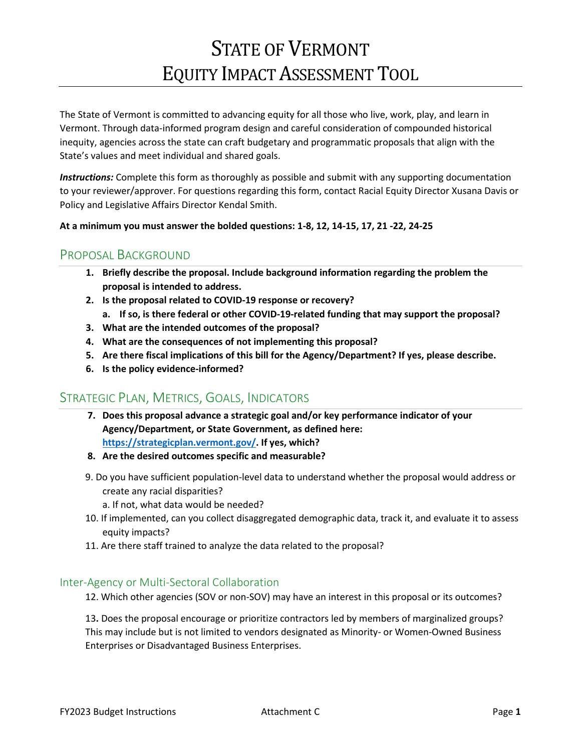# STATE OF VERMONT EQUITY IMPACT ASSESSMENT TOOL

The State of Vermont is committed to advancing equity for all those who live, work, play, and learn in Vermont. Through data-informed program design and careful consideration of compounded historical inequity, agencies across the state can craft budgetary and programmatic proposals that align with the State's values and meet individual and shared goals.

*Instructions:* Complete this form as thoroughly as possible and submit with any supporting documentation to your reviewer/approver. For questions regarding this form, contact Racial Equity Director Xusana Davis or Policy and Legislative Affairs Director Kendal Smith.

## **At a minimum you must answer the bolded questions: 1-8, 12, 14-15, 17, 21 -22, 24-25**

# PROPOSAL BACKGROUND

- **1. Briefly describe the proposal. Include background information regarding the problem the proposal is intended to address.**
- **2. Is the proposal related to COVID-19 response or recovery?**
	- **a. If so, is there federal or other COVID-19-related funding that may support the proposal?**
- **3. What are the intended outcomes of the proposal?**
- **4. What are the consequences of not implementing this proposal?**
- **5. Are there fiscal implications of this bill for the Agency/Department? If yes, please describe.**
- **6. Is the policy evidence-informed?**

# STRATEGIC PLAN, METRICS, GOALS, INDICATORS

- **7. Does this proposal advance a strategic goal and/or key performance indicator of your Agency/Department, or State Government, as defined here: [https://strategicplan.vermont.gov/.](https://strategicplan.vermont.gov/) If yes, which?**
- **8. Are the desired outcomes specific and measurable?**
- 9. Do you have sufficient population-level data to understand whether the proposal would address or create any racial disparities?
	- a. If not, what data would be needed?
- 10. If implemented, can you collect disaggregated demographic data, track it, and evaluate it to assess equity impacts?
- 11. Are there staff trained to analyze the data related to the proposal?

## Inter-Agency or Multi-Sectoral Collaboration

12. Which other agencies (SOV or non-SOV) may have an interest in this proposal or its outcomes?

13**.** Does the proposal encourage or prioritize contractors led by members of marginalized groups? This may include but is not limited to vendors designated as Minority- or Women-Owned Business Enterprises or Disadvantaged Business Enterprises.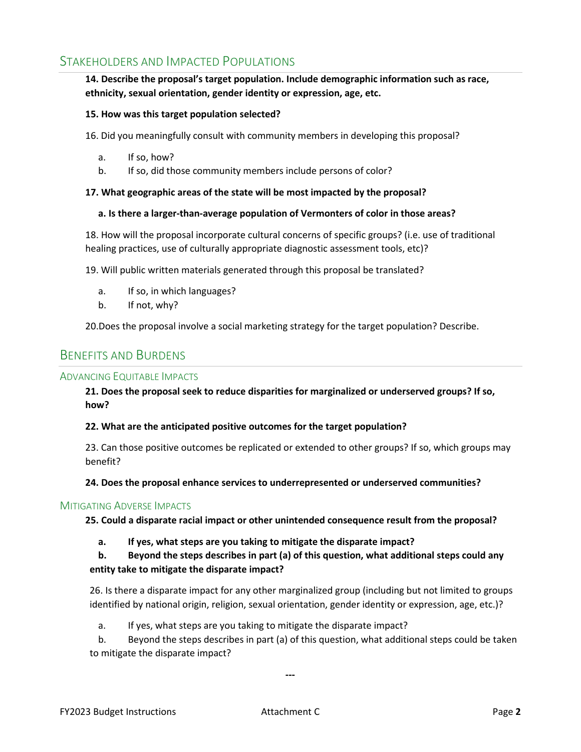# STAKEHOLDERS AND IMPACTED POPULATIONS

## **14. Describe the proposal's target population. Include demographic information such as race, ethnicity, sexual orientation, gender identity or expression, age, etc.**

### **15. How was this target population selected?**

16. Did you meaningfully consult with community members in developing this proposal?

- a. If so, how?
- b. If so, did those community members include persons of color?

### **17. What geographic areas of the state will be most impacted by the proposal?**

### **a. Is there a larger-than-average population of Vermonters of color in those areas?**

18. How will the proposal incorporate cultural concerns of specific groups? (i.e. use of traditional healing practices, use of culturally appropriate diagnostic assessment tools, etc)?

19. Will public written materials generated through this proposal be translated?

- a. If so, in which languages?
- b. If not, why?

20.Does the proposal involve a social marketing strategy for the target population? Describe.

## BENEFITS AND BURDENS

## ADVANCING EQUITABLE IMPACTS

**21. Does the proposal seek to reduce disparities for marginalized or underserved groups? If so, how?**

### **22. What are the anticipated positive outcomes for the target population?**

23. Can those positive outcomes be replicated or extended to other groups? If so, which groups may benefit?

### **24. Does the proposal enhance services to underrepresented or underserved communities?**

### MITIGATING ADVERSE IMPACTS

**25. Could a disparate racial impact or other unintended consequence result from the proposal?**

### **a. If yes, what steps are you taking to mitigate the disparate impact?**

**b. Beyond the steps describes in part (a) of this question, what additional steps could any entity take to mitigate the disparate impact?**

26. Is there a disparate impact for any other marginalized group (including but not limited to groups identified by national origin, religion, sexual orientation, gender identity or expression, age, etc.)?

a. If yes, what steps are you taking to mitigate the disparate impact?

b. Beyond the steps describes in part (a) of this question, what additional steps could be taken to mitigate the disparate impact?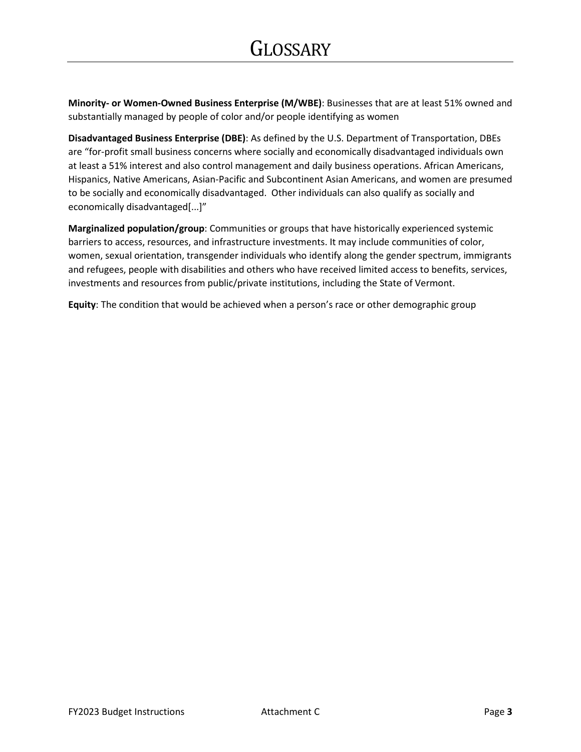**Minority- or Women-Owned Business Enterprise (M/WBE)**: Businesses that are at least 51% owned and substantially managed by people of color and/or people identifying as women

**Disadvantaged Business Enterprise (DBE)**: As defined by the U.S. Department of Transportation, DBEs are "for-profit small business concerns where socially and economically disadvantaged individuals own at least a 51% interest and also control management and daily business operations. African Americans, Hispanics, Native Americans, Asian-Pacific and Subcontinent Asian Americans, and women are presumed to be socially and economically disadvantaged. Other individuals can also qualify as socially and economically disadvantaged[...]"

**Marginalized population/group**: Communities or groups that have historically experienced systemic barriers to access, resources, and infrastructure investments. It may include communities of color, women, sexual orientation, transgender individuals who identify along the gender spectrum, immigrants and refugees, people with disabilities and others who have received limited access to benefits, services, investments and resources from public/private institutions, including the State of Vermont.

**Equity**: The condition that would be achieved when a person's race or other demographic group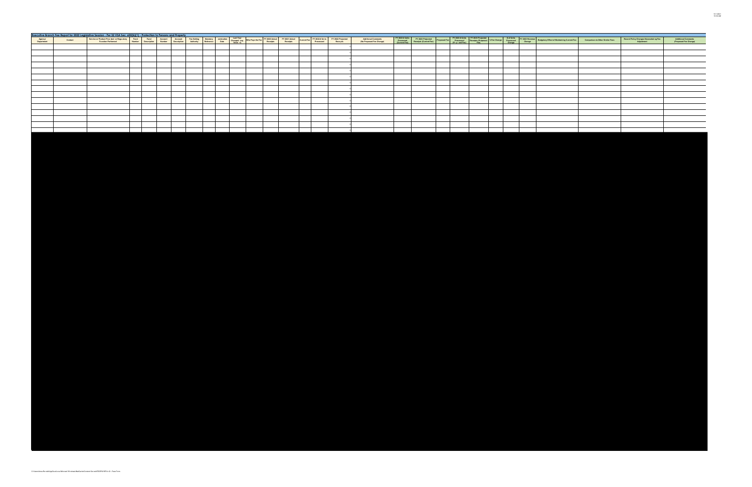|                       | Executive Branch Fee Report for 2022 Legislative Session - Per 32 VSA Sec. 605(b)(1) - Protection to Persons and Property |  |  |  |                                                                                                                                                                                                                                |  |  |                                                 |  |  |  |                                                                                                                                                                                                                                  |                                                       |                                                      |
|-----------------------|---------------------------------------------------------------------------------------------------------------------------|--|--|--|--------------------------------------------------------------------------------------------------------------------------------------------------------------------------------------------------------------------------------|--|--|-------------------------------------------------|--|--|--|----------------------------------------------------------------------------------------------------------------------------------------------------------------------------------------------------------------------------------|-------------------------------------------------------|------------------------------------------------------|
| Agency/<br>Department | Contact                                                                                                                   |  |  |  | Service or Product Provided or Regulatory Fund Fund Account Account For Setting Statutory emination Last Year Moneys the Fee PY 2022 Actual PY 2022 Actual PY 2022 Projected Function Performed Mumber Description Mumber Desc |  |  | Add tional Comments<br>(No Proposed Fee Change) |  |  |  | FY 2023 Punits PY 2023 Projected Proposed Fee PY 2023 Punits FY 2023 Projected % Fee Change Following Py 2023 Revenue Budgetary Effect of Maintaining Current Fee Comparison to Other Similar Fees<br>Processed Receipts Current | Recent Policy Changes Necessitat ng Fee<br>Adjustment | <b>Additional Comments<br/>(Proposed Fee Change)</b> |
|                       |                                                                                                                           |  |  |  |                                                                                                                                                                                                                                |  |  |                                                 |  |  |  |                                                                                                                                                                                                                                  |                                                       |                                                      |
|                       |                                                                                                                           |  |  |  |                                                                                                                                                                                                                                |  |  |                                                 |  |  |  |                                                                                                                                                                                                                                  |                                                       |                                                      |
|                       |                                                                                                                           |  |  |  |                                                                                                                                                                                                                                |  |  |                                                 |  |  |  |                                                                                                                                                                                                                                  |                                                       |                                                      |
|                       |                                                                                                                           |  |  |  |                                                                                                                                                                                                                                |  |  |                                                 |  |  |  |                                                                                                                                                                                                                                  |                                                       |                                                      |
|                       |                                                                                                                           |  |  |  |                                                                                                                                                                                                                                |  |  |                                                 |  |  |  |                                                                                                                                                                                                                                  |                                                       |                                                      |
|                       |                                                                                                                           |  |  |  |                                                                                                                                                                                                                                |  |  |                                                 |  |  |  |                                                                                                                                                                                                                                  |                                                       |                                                      |
|                       |                                                                                                                           |  |  |  |                                                                                                                                                                                                                                |  |  |                                                 |  |  |  |                                                                                                                                                                                                                                  |                                                       |                                                      |
|                       |                                                                                                                           |  |  |  |                                                                                                                                                                                                                                |  |  |                                                 |  |  |  |                                                                                                                                                                                                                                  |                                                       |                                                      |
|                       |                                                                                                                           |  |  |  |                                                                                                                                                                                                                                |  |  |                                                 |  |  |  |                                                                                                                                                                                                                                  |                                                       |                                                      |
|                       |                                                                                                                           |  |  |  |                                                                                                                                                                                                                                |  |  |                                                 |  |  |  |                                                                                                                                                                                                                                  |                                                       |                                                      |
|                       |                                                                                                                           |  |  |  |                                                                                                                                                                                                                                |  |  |                                                 |  |  |  |                                                                                                                                                                                                                                  |                                                       |                                                      |
|                       |                                                                                                                           |  |  |  |                                                                                                                                                                                                                                |  |  |                                                 |  |  |  |                                                                                                                                                                                                                                  |                                                       |                                                      |
|                       |                                                                                                                           |  |  |  |                                                                                                                                                                                                                                |  |  |                                                 |  |  |  |                                                                                                                                                                                                                                  |                                                       |                                                      |
|                       |                                                                                                                           |  |  |  |                                                                                                                                                                                                                                |  |  |                                                 |  |  |  |                                                                                                                                                                                                                                  |                                                       |                                                      |
|                       |                                                                                                                           |  |  |  |                                                                                                                                                                                                                                |  |  |                                                 |  |  |  |                                                                                                                                                                                                                                  |                                                       |                                                      |
|                       |                                                                                                                           |  |  |  |                                                                                                                                                                                                                                |  |  |                                                 |  |  |  |                                                                                                                                                                                                                                  |                                                       |                                                      |
|                       |                                                                                                                           |  |  |  |                                                                                                                                                                                                                                |  |  |                                                 |  |  |  |                                                                                                                                                                                                                                  |                                                       |                                                      |
|                       |                                                                                                                           |  |  |  |                                                                                                                                                                                                                                |  |  |                                                 |  |  |  |                                                                                                                                                                                                                                  |                                                       |                                                      |
|                       |                                                                                                                           |  |  |  |                                                                                                                                                                                                                                |  |  |                                                 |  |  |  |                                                                                                                                                                                                                                  |                                                       |                                                      |
|                       |                                                                                                                           |  |  |  |                                                                                                                                                                                                                                |  |  |                                                 |  |  |  |                                                                                                                                                                                                                                  |                                                       |                                                      |
|                       |                                                                                                                           |  |  |  |                                                                                                                                                                                                                                |  |  |                                                 |  |  |  |                                                                                                                                                                                                                                  |                                                       |                                                      |
|                       |                                                                                                                           |  |  |  |                                                                                                                                                                                                                                |  |  |                                                 |  |  |  |                                                                                                                                                                                                                                  |                                                       |                                                      |
|                       |                                                                                                                           |  |  |  |                                                                                                                                                                                                                                |  |  |                                                 |  |  |  |                                                                                                                                                                                                                                  |                                                       |                                                      |
|                       |                                                                                                                           |  |  |  |                                                                                                                                                                                                                                |  |  |                                                 |  |  |  |                                                                                                                                                                                                                                  |                                                       |                                                      |
|                       |                                                                                                                           |  |  |  |                                                                                                                                                                                                                                |  |  |                                                 |  |  |  |                                                                                                                                                                                                                                  |                                                       |                                                      |
|                       |                                                                                                                           |  |  |  |                                                                                                                                                                                                                                |  |  |                                                 |  |  |  |                                                                                                                                                                                                                                  |                                                       |                                                      |
|                       |                                                                                                                           |  |  |  |                                                                                                                                                                                                                                |  |  |                                                 |  |  |  |                                                                                                                                                                                                                                  |                                                       |                                                      |
|                       |                                                                                                                           |  |  |  |                                                                                                                                                                                                                                |  |  |                                                 |  |  |  |                                                                                                                                                                                                                                  |                                                       |                                                      |
|                       |                                                                                                                           |  |  |  |                                                                                                                                                                                                                                |  |  |                                                 |  |  |  |                                                                                                                                                                                                                                  |                                                       |                                                      |
|                       |                                                                                                                           |  |  |  |                                                                                                                                                                                                                                |  |  |                                                 |  |  |  |                                                                                                                                                                                                                                  |                                                       |                                                      |
|                       |                                                                                                                           |  |  |  |                                                                                                                                                                                                                                |  |  |                                                 |  |  |  |                                                                                                                                                                                                                                  |                                                       |                                                      |
|                       |                                                                                                                           |  |  |  |                                                                                                                                                                                                                                |  |  |                                                 |  |  |  |                                                                                                                                                                                                                                  |                                                       |                                                      |
|                       |                                                                                                                           |  |  |  |                                                                                                                                                                                                                                |  |  |                                                 |  |  |  |                                                                                                                                                                                                                                  |                                                       |                                                      |
|                       |                                                                                                                           |  |  |  |                                                                                                                                                                                                                                |  |  |                                                 |  |  |  |                                                                                                                                                                                                                                  |                                                       |                                                      |
|                       |                                                                                                                           |  |  |  |                                                                                                                                                                                                                                |  |  |                                                 |  |  |  |                                                                                                                                                                                                                                  |                                                       |                                                      |
|                       |                                                                                                                           |  |  |  |                                                                                                                                                                                                                                |  |  |                                                 |  |  |  |                                                                                                                                                                                                                                  |                                                       |                                                      |
|                       |                                                                                                                           |  |  |  |                                                                                                                                                                                                                                |  |  |                                                 |  |  |  |                                                                                                                                                                                                                                  |                                                       |                                                      |
|                       |                                                                                                                           |  |  |  |                                                                                                                                                                                                                                |  |  |                                                 |  |  |  |                                                                                                                                                                                                                                  |                                                       |                                                      |
|                       |                                                                                                                           |  |  |  |                                                                                                                                                                                                                                |  |  |                                                 |  |  |  |                                                                                                                                                                                                                                  |                                                       |                                                      |
|                       |                                                                                                                           |  |  |  |                                                                                                                                                                                                                                |  |  |                                                 |  |  |  |                                                                                                                                                                                                                                  |                                                       |                                                      |
|                       |                                                                                                                           |  |  |  |                                                                                                                                                                                                                                |  |  |                                                 |  |  |  |                                                                                                                                                                                                                                  |                                                       |                                                      |
|                       |                                                                                                                           |  |  |  |                                                                                                                                                                                                                                |  |  |                                                 |  |  |  |                                                                                                                                                                                                                                  |                                                       |                                                      |
|                       |                                                                                                                           |  |  |  |                                                                                                                                                                                                                                |  |  |                                                 |  |  |  |                                                                                                                                                                                                                                  |                                                       |                                                      |
|                       |                                                                                                                           |  |  |  |                                                                                                                                                                                                                                |  |  |                                                 |  |  |  |                                                                                                                                                                                                                                  |                                                       |                                                      |
|                       |                                                                                                                           |  |  |  |                                                                                                                                                                                                                                |  |  |                                                 |  |  |  |                                                                                                                                                                                                                                  |                                                       |                                                      |
|                       |                                                                                                                           |  |  |  |                                                                                                                                                                                                                                |  |  |                                                 |  |  |  |                                                                                                                                                                                                                                  |                                                       |                                                      |
|                       |                                                                                                                           |  |  |  |                                                                                                                                                                                                                                |  |  |                                                 |  |  |  |                                                                                                                                                                                                                                  |                                                       |                                                      |
|                       |                                                                                                                           |  |  |  |                                                                                                                                                                                                                                |  |  |                                                 |  |  |  |                                                                                                                                                                                                                                  |                                                       |                                                      |
|                       |                                                                                                                           |  |  |  |                                                                                                                                                                                                                                |  |  |                                                 |  |  |  |                                                                                                                                                                                                                                  |                                                       |                                                      |
|                       |                                                                                                                           |  |  |  |                                                                                                                                                                                                                                |  |  |                                                 |  |  |  |                                                                                                                                                                                                                                  |                                                       |                                                      |
|                       |                                                                                                                           |  |  |  |                                                                                                                                                                                                                                |  |  |                                                 |  |  |  |                                                                                                                                                                                                                                  |                                                       |                                                      |
|                       |                                                                                                                           |  |  |  |                                                                                                                                                                                                                                |  |  |                                                 |  |  |  |                                                                                                                                                                                                                                  |                                                       |                                                      |
|                       |                                                                                                                           |  |  |  |                                                                                                                                                                                                                                |  |  |                                                 |  |  |  |                                                                                                                                                                                                                                  |                                                       |                                                      |
|                       |                                                                                                                           |  |  |  |                                                                                                                                                                                                                                |  |  |                                                 |  |  |  |                                                                                                                                                                                                                                  |                                                       |                                                      |
|                       |                                                                                                                           |  |  |  |                                                                                                                                                                                                                                |  |  |                                                 |  |  |  |                                                                                                                                                                                                                                  |                                                       |                                                      |
|                       |                                                                                                                           |  |  |  |                                                                                                                                                                                                                                |  |  |                                                 |  |  |  |                                                                                                                                                                                                                                  |                                                       |                                                      |
|                       |                                                                                                                           |  |  |  |                                                                                                                                                                                                                                |  |  |                                                 |  |  |  |                                                                                                                                                                                                                                  |                                                       |                                                      |
|                       |                                                                                                                           |  |  |  |                                                                                                                                                                                                                                |  |  |                                                 |  |  |  |                                                                                                                                                                                                                                  |                                                       |                                                      |
|                       |                                                                                                                           |  |  |  |                                                                                                                                                                                                                                |  |  |                                                 |  |  |  |                                                                                                                                                                                                                                  |                                                       |                                                      |
|                       |                                                                                                                           |  |  |  |                                                                                                                                                                                                                                |  |  |                                                 |  |  |  |                                                                                                                                                                                                                                  |                                                       |                                                      |
|                       |                                                                                                                           |  |  |  |                                                                                                                                                                                                                                |  |  |                                                 |  |  |  |                                                                                                                                                                                                                                  |                                                       |                                                      |
|                       |                                                                                                                           |  |  |  |                                                                                                                                                                                                                                |  |  |                                                 |  |  |  |                                                                                                                                                                                                                                  |                                                       |                                                      |
|                       |                                                                                                                           |  |  |  |                                                                                                                                                                                                                                |  |  |                                                 |  |  |  |                                                                                                                                                                                                                                  |                                                       |                                                      |
|                       |                                                                                                                           |  |  |  |                                                                                                                                                                                                                                |  |  |                                                 |  |  |  |                                                                                                                                                                                                                                  |                                                       |                                                      |
|                       |                                                                                                                           |  |  |  |                                                                                                                                                                                                                                |  |  |                                                 |  |  |  |                                                                                                                                                                                                                                  |                                                       |                                                      |
|                       |                                                                                                                           |  |  |  |                                                                                                                                                                                                                                |  |  |                                                 |  |  |  |                                                                                                                                                                                                                                  |                                                       |                                                      |
|                       |                                                                                                                           |  |  |  |                                                                                                                                                                                                                                |  |  |                                                 |  |  |  |                                                                                                                                                                                                                                  |                                                       |                                                      |
|                       |                                                                                                                           |  |  |  |                                                                                                                                                                                                                                |  |  |                                                 |  |  |  |                                                                                                                                                                                                                                  |                                                       |                                                      |
|                       |                                                                                                                           |  |  |  |                                                                                                                                                                                                                                |  |  |                                                 |  |  |  |                                                                                                                                                                                                                                  |                                                       |                                                      |

\ppDa a\Loca \Microsof \W ndows\INetCache\Content Out ook\PZGPWY8P\A t.D - Fees Form